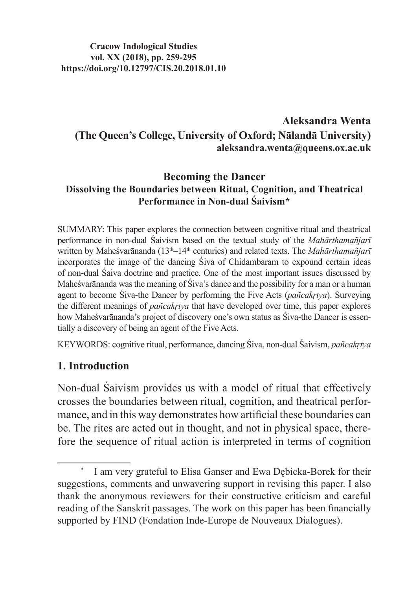**Cracow Indological Studies vol. XX (2018), pp. 259-295 https://doi.org/10.12797/CIS.20.2018.01.10**

## **Aleksandra Wenta (The Queen's College, University of Oxford; Nālandā University) aleksandra.wenta@queens.ox.ac.uk**

#### **Becoming the Dancer Dissolving the Boundaries between Ritual, Cognition, and Theatrical Performance in Non-dual Śaivism\***

SUMMARY: This paper explores the connection between cognitive ritual and theatrical performance in non-dual Śaivism based on the textual study of the *Mahārthamañjarī*  written by Maheśvarānanda (13<sup>th</sup>–14<sup>th</sup> centuries) and related texts. The *Mahārthamañjarī* incorporates the image of the dancing Śiva of Chidambaram to expound certain ideas of non-dual Śaiva doctrine and practice. One of the most important issues discussed by Maheśvarānanda was the meaning of Śiva's dance and the possibility for a man or a human agent to become Śiva-the Dancer by performing the Five Acts (*pañcakṛtya*). Surveying the different meanings of *pañcakṛtya* that have developed over time, this paper explores how Maheśvarānanda's project of discovery one's own status as Śiva-the Dancer is essentially a discovery of being an agent of the Five Acts.

KEYWORDS: cognitive ritual, performance, dancing Śiva, non-dual Śaivism, *pañcakṛtya*

#### **1. Introduction**

Non-dual Śaivism provides us with a model of ritual that effectively crosses the boundaries between ritual, cognition, and theatrical performance, and in this way demonstrates how artificial these boundaries can be. The rites are acted out in thought, and not in physical space, therefore the sequence of ritual action is interpreted in terms of cognition

I am very grateful to Elisa Ganser and Ewa Dębicka-Borek for their suggestions, comments and unwavering support in revising this paper. I also thank the anonymous reviewers for their constructive criticism and careful reading of the Sanskrit passages. The work on this paper has been financially supported by FIND (Fondation Inde-Europe de Nouveaux Dialogues).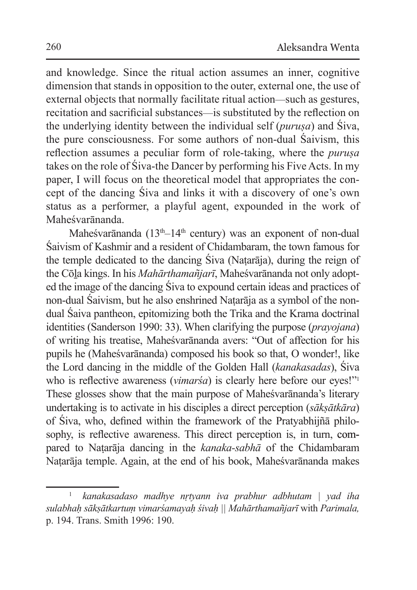and knowledge. Since the ritual action assumes an inner, cognitive dimension that stands in opposition to the outer, external one, the use of external objects that normally facilitate ritual action—such as gestures, recitation and sacrificial substances—is substituted by the reflection on the underlying identity between the individual self (*puruṣa*) and Śiva, the pure consciousness. For some authors of non-dual Śaivism, this reflection assumes a peculiar form of role-taking, where the *puruṣa* takes on the role of Śiva-the Dancer by performing his Five Acts. In my paper, I will focus on the theoretical model that appropriates the concept of the dancing Śiva and links it with a discovery of one's own status as a performer, a playful agent, expounded in the work of Maheśvarānanda.

Maheśvarānanda ( $13<sup>th</sup>-14<sup>th</sup>$  century) was an exponent of non-dual Śaivism of Kashmir and a resident of Chidambaram, the town famous for the temple dedicated to the dancing Śiva (Naṭarāja), during the reign of the Cōḻa kings. In his *Mahārthamañjarī*, Maheśvarānanda not only adopted the image of the dancing Śiva to expound certain ideas and practices of non-dual Śaivism, but he also enshrined Naṭarāja as a symbol of the nondual Śaiva pantheon, epitomizing both the Trika and the Krama doctrinal identities (Sanderson 1990: 33). When clarifying the purpose (*prayojana*) of writing his treatise, Maheśvarānanda avers: "Out of affection for his pupils he (Maheśvarānanda) composed his book so that, O wonder!, like the Lord dancing in the middle of the Golden Hall (*kanakasadas*), Śiva who is reflective awareness (*vimarśa*) is clearly here before our eyes!"<sup>1</sup> These glosses show that the main purpose of Maheśvarānanda's literary undertaking is to activate in his disciples a direct perception (*sākṣātkāra*) of Śiva, who, defined within the framework of the Pratyabhijñā philosophy, is reflective awareness. This direct perception is, in turn, compared to Naṭarāja dancing in the *kanaka-sabhā* of the Chidambaram Naṭarāja temple. Again, at the end of his book, Maheśvarānanda makes

<sup>1</sup> *kanakasadaso madhye nṛtyann iva prabhur adbhutam | yad iha sulabhaḥ sākṣātkartuṃ vimarśamayaḥ śivaḥ || Mahārthamañjarī* with *Parimala,*  p. 194. Trans. Smith 1996: 190.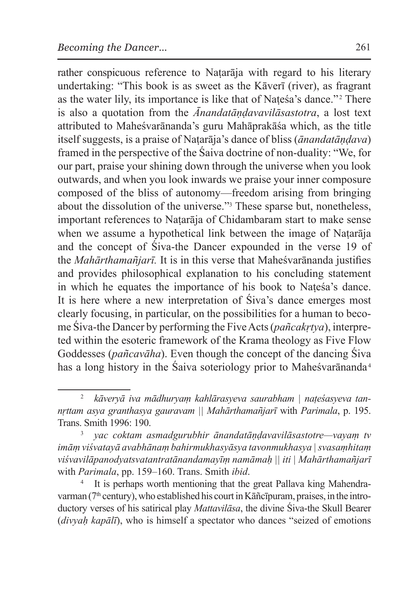rather conspicuous reference to Naṭarāja with regard to his literary undertaking: "This book is as sweet as the Kāverī (river), as fragrant as the water lily, its importance is like that of Natesa's dance."<sup>2</sup> There is also a quotation from the *Ānandatāṇḍavavilāsastotra*, a lost text attributed to Maheśvarānanda's guru Mahāprakāśa which, as the title itself suggests, is a praise of Naṭarāja's dance of bliss (*ānandatāṇḍava*) framed in the perspective of the Śaiva doctrine of non-duality: "We, for our part, praise your shining down through the universe when you look outwards, and when you look inwards we praise your inner composure composed of the bliss of autonomy—freedom arising from bringing about the dissolution of the universe."3 These sparse but, nonetheless, important references to Naṭarāja of Chidambaram start to make sense when we assume a hypothetical link between the image of Natarāja and the concept of Śiva-the Dancer expounded in the verse 19 of the *Mahārthamañjarī.* It is in this verse that Maheśvarānanda justifies and provides philosophical explanation to his concluding statement in which he equates the importance of his book to Natesa's dance. It is here where a new interpretation of Śiva's dance emerges most clearly focusing, in particular, on the possibilities for a human to beco-

me Śiva-the Dancer by performing the Five Acts (*pañcakṛtya*), interpreted within the esoteric framework of the Krama theology as Five Flow Goddesses (*pañcavāha*). Even though the concept of the dancing Śiva has a long history in the Śaiva soteriology prior to Maheśvarānanda<sup>4</sup>

<sup>&</sup>lt;sup>2</sup> kāveryā iva mādhuryam kahlārasyeva saurabham | nateśasyeva tan*nṛttam asya granthasya gauravam || Mahārthamañjarī* with *Parimala*, p. 195. Trans. Smith 1996: 190.

<sup>3</sup> *yac coktam asmadgurubhir ānandatāṇḍavavilāsastotre—vayaṃ tv imāṃ viśvatayā avabhānaṃ bahirmukhasyāsya tavonmukhasya | svasaṃhitaṃ viśvavilāpanodyatsvatantratānandamayīṃ namāmaḥ || iti | Mahārthamañjarī*  with *Parimala*, pp. 159–160. Trans. Smith *ibid*.

It is perhaps worth mentioning that the great Pallava king Mahendravarman ( $7<sup>th</sup>$  century), who established his court in Kāñcīpuram, praises, in the introductory verses of his satirical play *Mattavilāsa*, the divine Śiva-the Skull Bearer (*divyaḥ kapālī*), who is himself a spectator who dances "seized of emotions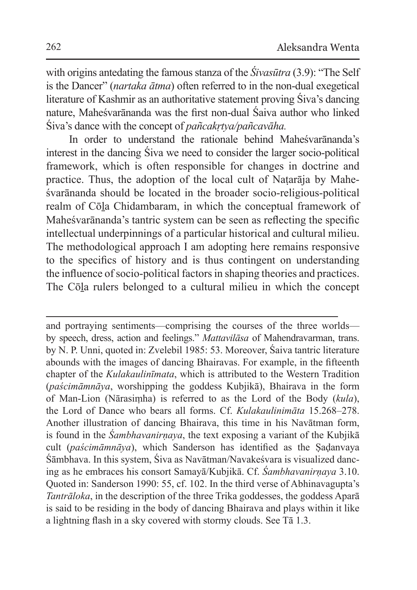with origins antedating the famous stanza of the *Śivasūtra* (3.9): "The Self is the Dancer" (*nartaka ātma*) often referred to in the non-dual exegetical literature of Kashmir as an authoritative statement proving Śiva's dancing nature, Maheśvarānanda was the first non-dual Śaiva author who linked Śiva's dance with the concept of *pañcakṛtya/pañcavāha.* 

In order to understand the rationale behind Maheśvarānanda's interest in the dancing Śiva we need to consider the larger socio-political framework, which is often responsible for changes in doctrine and practice. Thus, the adoption of the local cult of Naṭarāja by Maheśvarānanda should be located in the broader socio-religious-political realm of Cōḻa Chidambaram, in which the conceptual framework of Maheśvarānanda's tantric system can be seen as reflecting the specific intellectual underpinnings of a particular historical and cultural milieu. The methodological approach I am adopting here remains responsive to the specifics of history and is thus contingent on understanding the influence of socio-political factors in shaping theories and practices. The Cōḻa rulers belonged to a cultural milieu in which the concept

and portraying sentiments—comprising the courses of the three worlds by speech, dress, action and feelings." *Mattavilāsa* of Mahendravarman, trans. by N. P. Unni, quoted in: Zvelebil 1985: 53. Moreover, Śaiva tantric literature abounds with the images of dancing Bhairavas. For example, in the fifteenth chapter of the *Kulakaulinīmata*, which is attributed to the Western Tradition (*paścimāmnāya*, worshipping the goddess Kubjikā), Bhairava in the form of Man-Lion (Nārasiṃha) is referred to as the Lord of the Body (*kula*), the Lord of Dance who bears all forms. Cf. *Kulakaulinimāta* 15.268–278. Another illustration of dancing Bhairava, this time in his Navātman form, is found in the *Śambhavanirṇaya*, the text exposing a variant of the Kubjikā cult (*paścimāmnāya*), which Sanderson has identified as the Ṣaḍanvaya Śāmbhava. In this system, Śiva as Navātman/Navakeśvara is visualized dancing as he embraces his consort Samayā/Kubjikā. Cf. *Śambhavanirṇaya* 3.10. Quoted in: Sanderson 1990: 55, cf. 102. In the third verse of Abhinavagupta's *Tantrāloka*, in the description of the three Trika goddesses, the goddess Aparā is said to be residing in the body of dancing Bhairava and plays within it like a lightning flash in a sky covered with stormy clouds. See Tā 1.3.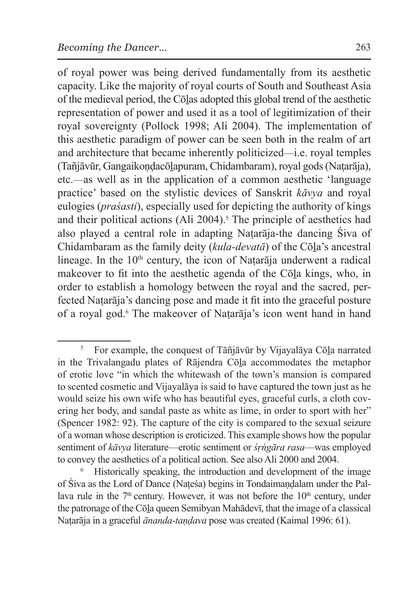of royal power was being derived fundamentally from its aesthetic capacity. Like the majority of royal courts of South and Southeast Asia of the medieval period, the Cōḻas adopted this global trend of the aesthetic representation of power and used it as a tool of legitimization of their royal sovereignty (Pollock 1998; Ali 2004). The implementation of this aesthetic paradigm of power can be seen both in the realm of art and architecture that became inherently politicized—i.e. royal temples (Tañjāvūr, Gangaikoṇḍacōḻapuram, Chidambaram), royal gods (Naṭarāja), etc.—as well as in the application of a common aesthetic 'language practice' based on the stylistic devices of Sanskrit *kāvya* and royal eulogies (*praśasti*), especially used for depicting the authority of kings and their political actions (Ali  $2004$ ).<sup>5</sup> The principle of aesthetics had also played a central role in adapting Naṭarāja-the dancing Śiva of Chidambaram as the family deity (*kula-devatā*) of the Cōḻa's ancestral lineage. In the  $10<sup>th</sup>$  century, the icon of Natarāja underwent a radical makeover to fit into the aesthetic agenda of the Cōḻa kings, who, in order to establish a homology between the royal and the sacred, perfected Naṭarāja's dancing pose and made it fit into the graceful posture of a royal god.6 The makeover of Naṭarāja's icon went hand in hand

 $5$  For example, the conquest of Tāñjāvūr by Vijayalāya Cōla narrated in the Trivalangadu plates of Rājendra Cōḻa accommodates the metaphor of erotic love "in which the whitewash of the town's mansion is compared to scented cosmetic and Vijayalāya is said to have captured the town just as he would seize his own wife who has beautiful eyes, graceful curls, a cloth covering her body, and sandal paste as white as lime, in order to sport with her" (Spencer 1982: 92). The capture of the city is compared to the sexual seizure of a woman whose description is eroticized. This example shows how the popular sentiment of *kāvya* literature—erotic sentiment or *śṛṅgāra rasa*—was employed to convey the aesthetics of a political action. See also Ali 2000 and 2004.<br><sup>6</sup> Historically speaking, the introduction and development of the image

of Śiva as the Lord of Dance (Naṭeśa) begins in Tondaimaṇḍalam under the Pallava rule in the  $7<sup>th</sup>$  century. However, it was not before the  $10<sup>th</sup>$  century, under the patronage of the Cōḻa queen Semibyan Mahādevī, that the image of a classical Naṭarāja in a graceful *ānanda-taṇḍava* pose was created (Kaimal 1996: 61).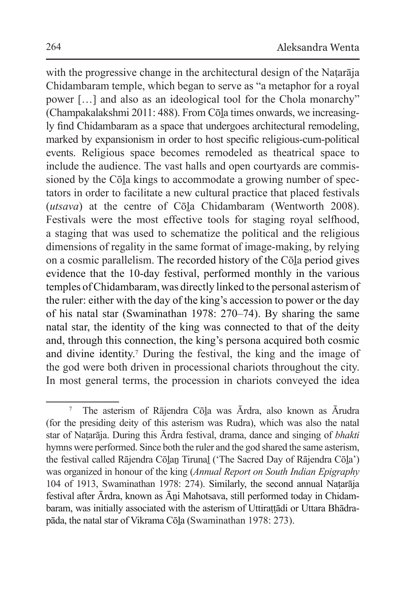with the progressive change in the architectural design of the Nataraja Chidambaram temple, which began to serve as "a metaphor for a royal power […] and also as an ideological tool for the Chola monarchy" (Champakalakshmi 2011: 488). From Cōḻa times onwards, we increasingly find Chidambaram as a space that undergoes architectural remodeling, marked by expansionism in order to host specific religious-cum-political events. Religious space becomes remodeled as theatrical space to include the audience. The vast halls and open courtyards are commissioned by the Cōla kings to accommodate a growing number of spectators in order to facilitate a new cultural practice that placed festivals (*utsava*) at the centre of Cōḻa Chidambaram (Wentworth 2008). Festivals were the most effective tools for staging royal selfhood, a staging that was used to schematize the political and the religious dimensions of regality in the same format of image-making, by relying on a cosmic parallelism. The recorded history of the Cōḻa period gives evidence that the 10-day festival, performed monthly in the various temples of Chidambaram, was directly linked to the personal asterism of the ruler: either with the day of the king's accession to power or the day of his natal star (Swaminathan 1978: 270–74). By sharing the same natal star, the identity of the king was connected to that of the deity and, through this connection, the king's persona acquired both cosmic and divine identity.7 During the festival, the king and the image of the god were both driven in processional chariots throughout the city. In most general terms, the procession in chariots conveyed the idea

<sup>7</sup> The asterism of Rājendra Cōḻa was Ārdra, also known as Ārudra (for the presiding deity of this asterism was Rudra), which was also the natal star of Naṭarāja. During this Ārdra festival, drama, dance and singing of *bhakti*  hymns were performed. Since both the ruler and the god shared the same asterism, the festival called Rājendra Cōlan Tirunal ('The Sacred Day of Rājendra Cōla') was organized in honour of the king (*Annual Report on South Indian Epigraphy* 104 of 1913, Swaminathan 1978: 274). Similarly, the second annual Naṭarāja festival after Ārdra, known as Āni Mahotsava, still performed today in Chidambaram, was initially associated with the asterism of Uttirattādi or Uttara Bhādrapāda, the natal star of Vikrama Cōḻa (Swaminathan 1978: 273).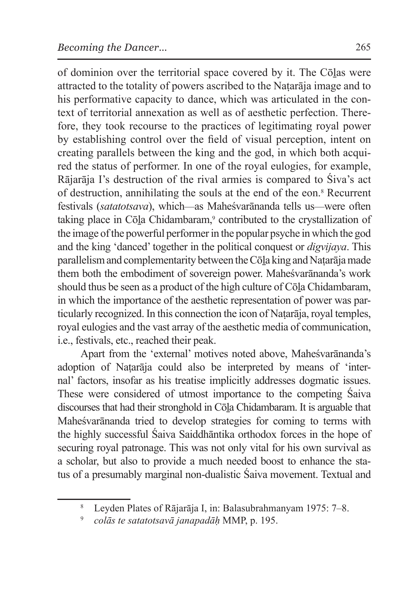of dominion over the territorial space covered by it. The Cōḻas were attracted to the totality of powers ascribed to the Naṭarāja image and to his performative capacity to dance, which was articulated in the context of territorial annexation as well as of aesthetic perfection. Therefore, they took recourse to the practices of legitimating royal power by establishing control over the field of visual perception, intent on creating parallels between the king and the god, in which both acquired the status of performer. In one of the royal eulogies, for example, Rājarāja I's destruction of the rival armies is compared to Śiva's act of destruction, annihilating the souls at the end of the eon.8 Recurrent festivals (*satatotsava*), which—as Maheśvarānanda tells us—were often taking place in Cōla Chidambaram,<sup>9</sup> contributed to the crystallization of the image of the powerful performer in the popular psyche in which the god and the king 'danced' together in the political conquest or *digvijaya*. This parallelism and complementarity between theCōḻa king and Naṭarāja made them both the embodiment of sovereign power. Maheśvarānanda's work should thus be seen as a product of the high culture of Cōḻa Chidambaram, in which the importance of the aesthetic representation of power was particularly recognized. In this connection the icon of Naṭarāja, royal temples, royal eulogies and the vast array of the aesthetic media of communication, i.e., festivals, etc., reached their peak.

Apart from the 'external' motives noted above, Maheśvarānanda's adoption of Naṭarāja could also be interpreted by means of 'internal' factors, insofar as his treatise implicitly addresses dogmatic issues. These were considered of utmost importance to the competing Śaiva discourses that had their stronghold in Cōḻa Chidambaram. It is arguable that Maheśvarānanda tried to develop strategies for coming to terms with the highly successful Śaiva Saiddhāntika orthodox forces in the hope of securing royal patronage. This was not only vital for his own survival as a scholar, but also to provide a much needed boost to enhance the status of a presumably marginal non-dualistic Śaiva movement. Textual and

<sup>8</sup> Leyden Plates of Rājarāja I, in: Balasubrahmanyam 1975: 7–8.

<sup>9</sup> *colās te satatotsavā janapadāḥ* MMP, p. 195.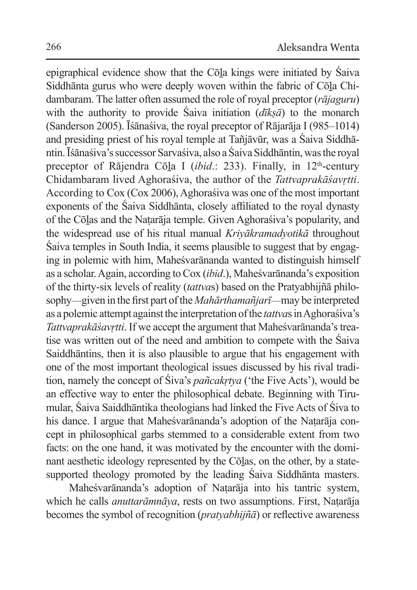epigraphical evidence show that the Cōḻa kings were initiated by Śaiva Siddhānta gurus who were deeply woven within the fabric of Cōḻa Chidambaram. The latter often assumed the role of royal preceptor (*rājaguru*) with the authority to provide Śaiva initiation (*dīkṣā*) to the monarch (Sanderson 2005). Īśānaśiva, the royal preceptor of Rājarāja I (985–1014) and presiding priest of his royal temple at Tañjāvūr, was a Śaiva Siddhāntin. Īśānaśiva's successor Sarvaśiva, also aŚaiva Siddhāntin, was the royal preceptor of Rājendra Cōla I (*ibid.*: 233). Finally, in 12<sup>th</sup>-century Chidambaram lived Aghoraśiva, the author of the *Tattvaprakāśavṛtti*. According to Cox (Cox 2006), Aghoraśiva was one of the most important exponents of the Śaiva Siddhānta, closely affiliated to the royal dynasty of the Cōḻas and the Naṭarāja temple. Given Aghoraśiva's popularity, and the widespread use of his ritual manual *Kriyākramadyotikā* throughout Śaiva temples in South India, it seems plausible to suggest that by engaging in polemic with him, Maheśvarānanda wanted to distinguish himself as a scholar. Again, according to Cox (*ibid*.), Maheśvarānanda's exposition of the thirty-six levels of reality (*tattva*s) based on the Pratyabhijñā philosophy—given in the first part of the *Mahārthamañjarī*—may be interpreted as a polemic attempt against the interpretation of the *tattva*s in Aghoraśiva's *Tattvaprakāśavrtti*. If we accept the argument that Maheśvarānanda's treatise was written out of the need and ambition to compete with the Śaiva Saiddhāntins, then it is also plausible to argue that his engagement with one of the most important theological issues discussed by his rival tradition, namely the concept of Śiva's *pañcakṛtya* ('the Five Acts'), would be an effective way to enter the philosophical debate. Beginning with Tirumular, Śaiva Saiddhāntika theologians had linked the Five Acts of Śiva to his dance. I argue that Maheśvarānanda's adoption of the Naṭarāja concept in philosophical garbs stemmed to a considerable extent from two facts: on the one hand, it was motivated by the encounter with the dominant aesthetic ideology represented by the Cōlas, on the other, by a statesupported theology promoted by the leading Śaiva Siddhānta masters.

Maheśvarānanda's adoption of Naṭarāja into his tantric system, which he calls *anuttarāmnāya*, rests on two assumptions. First, Naṭarāja becomes the symbol of recognition (*pratyabhijñā*) or reflective awareness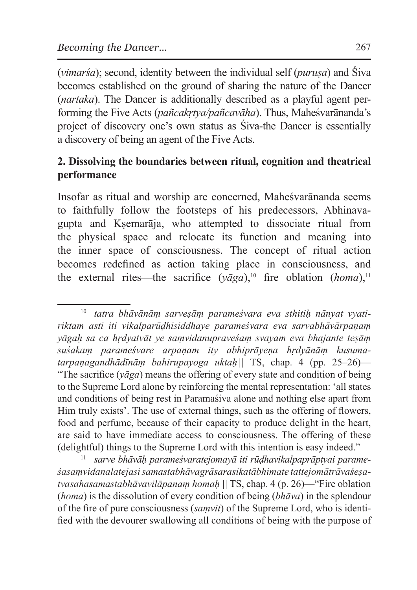(*vimarśa*); second, identity between the individual self (*puruṣa*) and Śiva becomes established on the ground of sharing the nature of the Dancer (*nartaka*). The Dancer is additionally described as a playful agent performing the Five Acts (*pañcakṛtya/pañcavāha*). Thus, Maheśvarānanda's project of discovery one's own status as Śiva-the Dancer is essentially a discovery of being an agent of the Five Acts.

## **2. Dissolving the boundaries between ritual, cognition and theatrical performance**

Insofar as ritual and worship are concerned, Maheśvarānanda seems to faithfully follow the footsteps of his predecessors, Abhinavagupta and Kṣemarāja, who attempted to dissociate ritual from the physical space and relocate its function and meaning into the inner space of consciousness. The concept of ritual action becomes redefined as action taking place in consciousness, and the external rites—the sacrifice  $(v\bar{a}ga)$ ,<sup>10</sup> fire oblation (*homa*),<sup>11</sup>

<sup>&</sup>lt;sup>10</sup> tatra bhāvānām sarvesām parameśvara eva sthitih nānyat vyati*riktam asti iti vikalparūḍhisiddhaye parameśvara eva sarvabhāvārpaṇaṃ yāgaḥ sa ca hṛdyatvāt ye saṃvidanupraveśaṃ svayam eva bhajante teṣāṃ suśakaṃ parameśvare arpaṇam ity abhiprāyeṇa hṛdyānāṃ kusumatarpaṇagandhādīnāṃ bahirupayoga uktaḥ ||* TS, chap. 4 (pp. 25–26)— "The sacrifice  $(\bar{v} \bar{q} g a)$  means the offering of every state and condition of being to the Supreme Lord alone by reinforcing the mental representation: 'all states and conditions of being rest in Paramaśiva alone and nothing else apart from Him truly exists'. The use of external things, such as the offering of flowers, food and perfume, because of their capacity to produce delight in the heart, are said to have immediate access to consciousness. The offering of these (delightful) things to the Supreme Lord with this intention is easy indeed."

<sup>11</sup> *sarve bhāvāḥ parameśvaratejomayā iti rūḍhavikalpaprāptyai parame śasaṃvidanalatejasi samastabhāvagrāsarasikatābhimate tattejomātrāvaśeṣatvasahasamastabhāvavilāpanaṃ homaḥ ||* TS, chap. 4 (p. 26)—"Fire oblation (*homa*) is the dissolution of every condition of being (*bhāva*) in the splendour of the fire of pure consciousness (*saṃvit*) of the Supreme Lord, who is identified with the devourer swallowing all conditions of being with the purpose of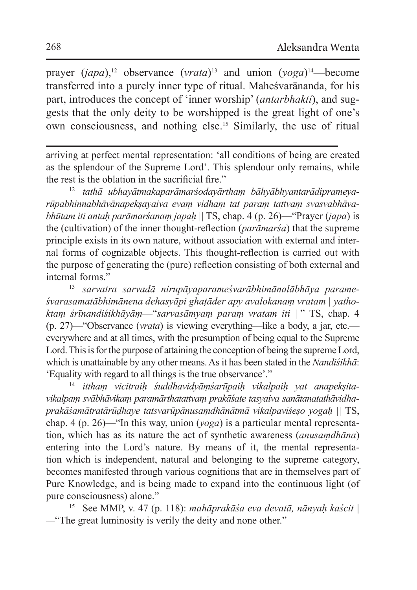prayer (*japa*),<sup>12</sup> observance (*vrata*)<sup>13</sup> and union (*yoga*)<sup>14</sup>—become transferred into a purely inner type of ritual. Maheśvarānanda, for his part, introduces the concept of 'inner worship' (*antarbhakti*), and suggests that the only deity to be worshipped is the great light of one's own consciousness, and nothing else.15 Similarly, the use of ritual

arriving at perfect mental representation: 'all conditions of being are created as the splendour of the Supreme Lord'. This splendour only remains, while the rest is the oblation in the sacrificial fire."

<sup>12</sup> *tathā ubhayātmakaparāmarśodayārthaṃ bāhyābhyantarādiprameyarūpabhinnabhāvānapekṣayaiva evaṃ vidhaṃ tat paraṃ tattvaṃ svasvabhāvabhūtam iti antaḥ parāmarśanaṃ japaḥ ||* TS, chap. 4 (p. 26)—"Prayer (*japa*) is the (cultivation) of the inner thought-reflection (*parāmarśa*) that the supreme principle exists in its own nature, without association with external and internal forms of cognizable objects. This thought-reflection is carried out with the purpose of generating the (pure) reflection consisting of both external and internal forms."

<sup>13</sup> *sarvatra sarvadā nirupāyaparameśvarābhimānalābhāya parameśvarasamatābhimānena dehasyāpi ghaṭāder apy avalokanaṃ vratam | yathoktaṃ śrīnandiśikhāyāṃ*—"*sarvasāmyaṃ paraṃ vratam iti ||*" TS, chap. 4 (p. 27)—"Observance (*vrata*) is viewing everything—like a body, a jar, etc. everywhere and at all times, with the presumption of being equal to the Supreme Lord. This is for the purpose of attaining the conception of being the supreme Lord, which is unattainable by any other means. As it has been stated in the *Nandiśikhā*: 'Equality with regard to all things is the true observance'."

<sup>14</sup> *itthaṃ vicitraiḥ śuddhavidyāṃśarūpaiḥ vikalpaiḥ yat anapekṣitavikalpaṃ svābhāvikaṃ paramārthatattvaṃ prakāśate tasyaiva sanātanatathāvidhaprakāśamātratārūḍhaye tatsvarūpānusaṃdhānātmā vikalpaviśeṣo yogaḥ ||* TS, chap. 4 (p. 26)—"In this way, union (*yoga*) is a particular mental representation, which has as its nature the act of synthetic awareness (*anusaṃdhāna*) entering into the Lord's nature. By means of it, the mental representation which is independent, natural and belonging to the supreme category, becomes manifested through various cognitions that are in themselves part of Pure Knowledge, and is being made to expand into the continuous light (of pure consciousness) alone."

<sup>15</sup> See MMP, v. 47 (p. 118): *mahāprakāśa eva devatā, nānyaḥ kaścit | —*"The great luminosity is verily the deity and none other."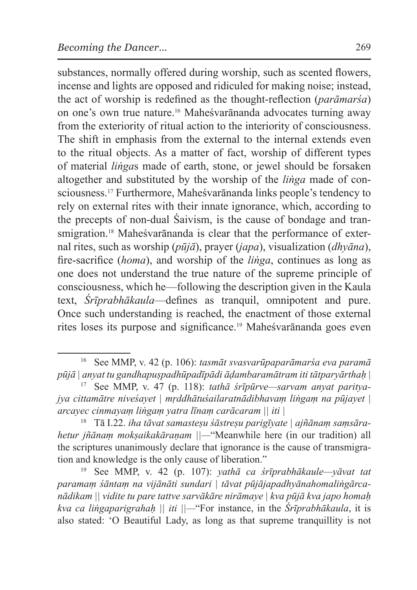substances, normally offered during worship, such as scented flowers, incense and lights are opposed and ridiculed for making noise; instead, the act of worship is redefined as the thought-reflection (*parāmarśa*) on one's own true nature.16 Maheśvarānanda advocates turning away from the exteriority of ritual action to the interiority of consciousness. The shift in emphasis from the external to the internal extends even to the ritual objects. As a matter of fact, worship of different types of material *liṅga*s made of earth, stone, or jewel should be forsaken altogether and substituted by the worship of the *liṅga* made of consciousness.17 Furthermore, Maheśvarānanda links people's tendency to rely on external rites with their innate ignorance, which, according to the precepts of non-dual Śaivism, is the cause of bondage and transmigration.<sup>18</sup> Maheśvarānanda is clear that the performance of external rites, such as worship (*pūjā*), prayer (*japa*), visualization (*dhyāna*), fire-sacrifice (*homa*), and worship of the *liṅga*, continues as long as one does not understand the true nature of the supreme principle of consciousness, which he—following the description given in the Kaula text, *Śrīprabhākaula*—defines as tranquil, omnipotent and pure. Once such understanding is reached, the enactment of those external rites loses its purpose and significance.19 Maheśvarānanda goes even

<sup>16</sup> See MMP, v. 42 (p. 106): *tasmāt svasvarūpaparāmarśa eva paramā pūjā | anyat tu gandhapuṣpadhūpadīpādi āḍambaramātram iti tātparyārthaḥ |*

<sup>17</sup> See MMP, v. 47 (p. 118): *tathā śrīpūrve—sarvam anyat parityajya cittamātre niveśayet | mṛddhātuśailaratnādibhavaṃ liṅgaṃ na pūjayet | arcayec cinmayaṃ liṅgaṃ yatra līnaṃ carācaram || iti |*

<sup>18</sup> Tā I.22. *iha tāvat samasteṣu śāstreṣu parigīyate | ajñānaṃ saṃsārahetur jñānaṃ mokṣaikakāraṇam ||—*"Meanwhile here (in our tradition) all the scriptures unanimously declare that ignorance is the cause of transmigration and knowledge is the only cause of liberation." 19 See MMP, v. 42 (p. 107): *yathā ca śrīprabhākaule—yāvat tat* 

*paramaṃ śāntaṃ na vijānāti sundari | tāvat pūjājapadhyānahomaliṅgārcanādikam || vidite tu pare tattve sarvākāre nirāmaye | kva pūjā kva japo homaḥ kva ca liṅgaparigrahaḥ || iti ||—*"For instance, in the *Śrīprabhākaula*, it is also stated: 'O Beautiful Lady, as long as that supreme tranquillity is not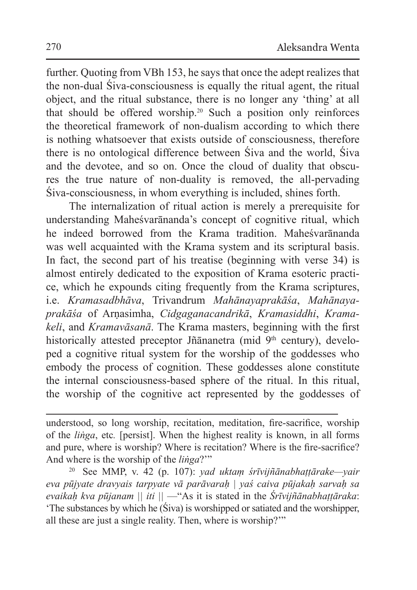further. Quoting from VBh 153, he says that once the adept realizes that the non-dual Śiva-consciousness is equally the ritual agent, the ritual object, and the ritual substance, there is no longer any 'thing' at all that should be offered worship.20 Such a position only reinforces the theoretical framework of non-dualism according to which there is nothing whatsoever that exists outside of consciousness, therefore there is no ontological difference between Śiva and the world, Śiva and the devotee, and so on. Once the cloud of duality that obscures the true nature of non-duality is removed, the all-pervading Śiva-consciousness, in whom everything is included, shines forth.

The internalization of ritual action is merely a prerequisite for understanding Maheśvarānanda's concept of cognitive ritual, which he indeed borrowed from the Krama tradition. Maheśvarānanda was well acquainted with the Krama system and its scriptural basis. In fact, the second part of his treatise (beginning with verse 34) is almost entirely dedicated to the exposition of Krama esoteric practice, which he expounds citing frequently from the Krama scriptures, i.e. *Kramasadbhāva*, Trivandrum *Mahānayaprakāśa*, *Mahānayaprakāśa* of Arṇasimha, *Cidgaganacandrikā*, *Kramasiddhi*, *Kramakeli*, and *Kramavāsanā*. The Krama masters, beginning with the first historically attested preceptor Jñānanetra (mid 9<sup>th</sup> century), developed a cognitive ritual system for the worship of the goddesses who embody the process of cognition. These goddesses alone constitute the internal consciousness-based sphere of the ritual. In this ritual, the worship of the cognitive act represented by the goddesses of

<sup>20</sup> See MMP, v. 42 (p. 107): *yad uktaṃ śrīvijñānabhaṭṭārake—yair eva pūjyate dravyais tarpyate vā parāvaraḥ | yaś caiva pūjakaḥ sarvaḥ sa evaikaḥ kva pūjanam || iti ||* —"As it is stated in the *Śrīvijñānabhaṭṭāraka*: 'The substances by which he (Śiva) is worshipped or satiated and the worshipper, all these are just a single reality. Then, where is worship?'"

understood, so long worship, recitation, meditation, fire-sacrifice, worship of the *liṅga*, etc*.* [persist]. When the highest reality is known, in all forms and pure, where is worship? Where is recitation? Where is the fire-sacrifice? And where is the worship of the *liṅga*?'"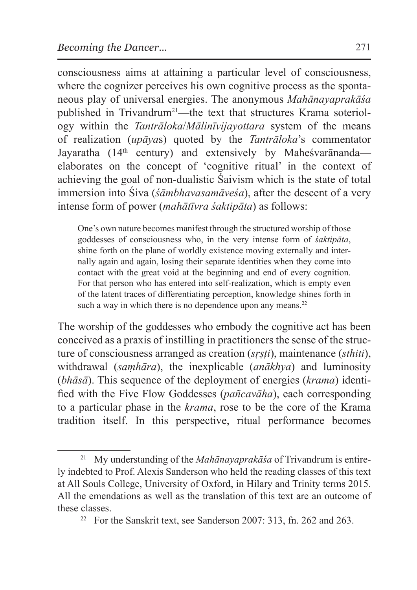consciousness aims at attaining a particular level of consciousness, where the cognizer perceives his own cognitive process as the spontaneous play of universal energies. The anonymous *Mahānayaprakāśa* published in Trivandrum<sup>21</sup>—the text that structures Krama soteriology within the *Tantrāloka*/*Mālinīvijayottara* system of the means of realization (*upāya*s) quoted by the *Tantrāloka*'s commentator Jayaratha (14<sup>th</sup> century) and extensively by Mahesvarananda elaborates on the concept of 'cognitive ritual' in the context of achieving the goal of non-dualistic Śaivism which is the state of total immersion into Śiva (*śāmbhavasamāveśa*), after the descent of a very intense form of power (*mahātīvra śaktipāta*) as follows:

One's own nature becomes manifest through the structured worship of those goddesses of consciousness who, in the very intense form of *śaktipāta*, shine forth on the plane of worldly existence moving externally and internally again and again, losing their separate identities when they come into contact with the great void at the beginning and end of every cognition. For that person who has entered into self-realization, which is empty even of the latent traces of differentiating perception, knowledge shines forth in such a way in which there is no dependence upon any means. $22$ 

The worship of the goddesses who embody the cognitive act has been conceived as a praxis of instilling in practitioners the sense of the structure of consciousness arranged as creation (*sṛṣṭi*), maintenance (*sthiti*), withdrawal (*saṃhāra*), the inexplicable (*anākhya*) and luminosity (*bhāsā*). This sequence of the deployment of energies (*krama*) identified with the Five Flow Goddesses (*pañcavāha*), each corresponding to a particular phase in the *krama*, rose to be the core of the Krama tradition itself. In this perspective, ritual performance becomes

<sup>21</sup> My understanding of the *Mahānayaprakāśa* of Trivandrum is entirely indebted to Prof. Alexis Sanderson who held the reading classes of this text at All Souls College, University of Oxford, in Hilary and Trinity terms 2015. All the emendations as well as the translation of this text are an outcome of these classes. 22 For the Sanskrit text, see Sanderson 2007: 313, fn. 262 and 263.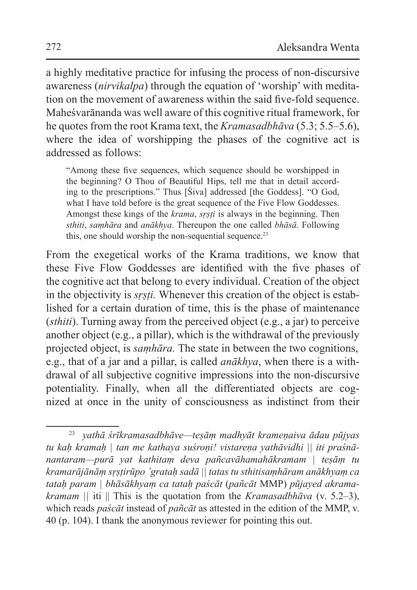a highly meditative practice for infusing the process of non-discursive awareness (*nirvikalpa*) through the equation of 'worship' with meditation on the movement of awareness within the said five-fold sequence. Maheśvarānanda was well aware of this cognitive ritual framework, for he quotes from the root Krama text, the *Kramasadbhāva* (5.3; 5.5–5.6), where the idea of worshipping the phases of the cognitive act is addressed as follows:

"Among these five sequences, which sequence should be worshipped in the beginning? O Thou of Beautiful Hips, tell me that in detail according to the prescriptions." Thus [Śiva] addressed [the Goddess]. "O God, what I have told before is the great sequence of the Five Flow Goddesses. Amongst these kings of the *krama*, *sṛṣṭi* is always in the beginning. Then *sthiti*, *saṃhāra* and *anākhya*. Thereupon the one called *bhāsā*. Following this, one should worship the non-sequential sequence.<sup>23</sup>

From the exegetical works of the Krama traditions, we know that these Five Flow Goddesses are identified with the five phases of the cognitive act that belong to every individual. Creation of the object in the objectivity is *sṛṣṭi.* Whenever this creation of the object is established for a certain duration of time, this is the phase of maintenance (*sthiti*). Turning away from the perceived object (e.g., a jar) to perceive another object (e.g., a pillar), which is the withdrawal of the previously projected object, is *saṃhāra.* The state in between the two cognitions, e.g., that of a jar and a pillar, is called *anākhya*, when there is a withdrawal of all subjective cognitive impressions into the non-discursive potentiality. Finally, when all the differentiated objects are cognized at once in the unity of consciousness as indistinct from their

<sup>23</sup> *yathā śrīkramasadbhāve—teṣāṃ madhyāt krameṇaiva ādau pūjyas tu kaḥ kramaḥ | tan me kathaya suśroṇi! vistareṇa yathāvidhi || iti praśnānantaram—purā yat kathitaṃ deva pañcavāhamahākramam | teṣāṃ tu kramarājānāṃ sṛṣṭirūpo 'grataḥ sadā || tatas tu sthitisaṃhāram anākhyaṃ ca tataḥ param | bhāsākhyaṃ ca tataḥ paścāt* (*pañcāt* MMP) *pūjayed akramakramam ||* iti || This is the quotation from the *Kramasadbhāva* (v. 5.2–3), which reads *paścāt* instead of *pañcāt* as attested in the edition of the MMP, v. 40 (p. 104). I thank the anonymous reviewer for pointing this out.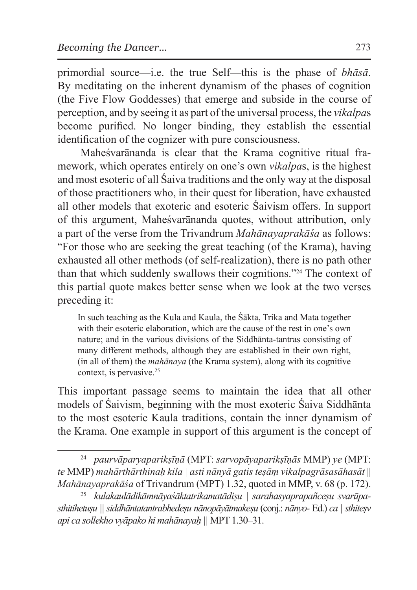primordial source—i.e. the true Self—this is the phase of *bhāsā*. By meditating on the inherent dynamism of the phases of cognition (the Five Flow Goddesses) that emerge and subside in the course of perception, and by seeing it as part of the universal process, the *vikalpa*s become purified. No longer binding, they establish the essential identification of the cognizer with pure consciousness.

Maheśvarānanda is clear that the Krama cognitive ritual framework, which operates entirely on one's own *vikalpa*s, is the highest and most esoteric of all Śaiva traditions and the only way at the disposal of those practitioners who, in their quest for liberation, have exhausted all other models that exoteric and esoteric Śaivism offers. In support of this argument, Maheśvarānanda quotes, without attribution, only a part of the verse from the Trivandrum *Mahānayaprakāśa* as follows: "For those who are seeking the great teaching (of the Krama), having exhausted all other methods (of self-realization), there is no path other than that which suddenly swallows their cognitions."24 The context of this partial quote makes better sense when we look at the two verses preceding it:

In such teaching as the Kula and Kaula, the Śākta, Trika and Mata together with their esoteric elaboration, which are the cause of the rest in one's own nature; and in the various divisions of the Siddhānta-tantras consisting of many different methods, although they are established in their own right, (in all of them) the *mahānaya* (the Krama system), along with its cognitive context, is pervasive.<sup>25</sup>

This important passage seems to maintain the idea that all other models of Śaivism, beginning with the most exoteric Śaiva Siddhānta to the most esoteric Kaula traditions, contain the inner dynamism of the Krama. One example in support of this argument is the concept of

<sup>24</sup> *paurvāparyaparikṣīṇā* (MPT: *sarvopāyaparikṣīṇās* MMP) *ye* (MPT: *te* MMP) *mahārthārthinaḥ kila | asti nānyā gatis teṣāṃ vikalpagrāsasāhasāt* || *Mahānayaprakāśa* of Trivandrum (MPT) 1.32, quoted in MMP, v. 68 (p. 172).

<sup>&</sup>lt;sup>25</sup> kulakaulādikāmnāyaśāktatrikamatādisu | sarahasyaprapañcesu svarūpa*sthitihetuṣu || siddhāntatantrabhedeṣu nānopāyātmakeṣu* (conj.: *nānyo-* Ed.) *ca |sthiteṣv api ca sollekho vyāpako hi mahānayaḥ ||* MPT 1.30–31.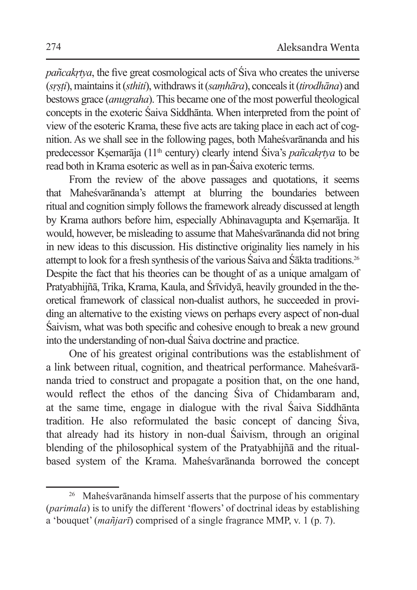*pañcakrtya*, the five great cosmological acts of Śiva who creates the universe (*sṛṣṭi*), maintains it (*sthiti*), withdraws it (*saṃhāra*), conceals it (*tirodhāna*) and bestows grace (*anugraha*). This became one of the most powerful theological concepts in the exoteric Śaiva Siddhānta. When interpreted from the point of view of the esoteric Krama, these five acts are taking place in each act of cognition. As we shall see in the following pages, both Maheśvarānanda and his predecessor Kṣemarāja (11th century) clearly intend Śiva's *pañcakṛtya* to be read both in Krama esoteric as well as in pan-Śaiva exoteric terms.

From the review of the above passages and quotations, it seems that Maheśvarānanda's attempt at blurring the boundaries between ritual and cognition simply follows the framework already discussed at length by Krama authors before him, especially Abhinavagupta and Kṣemarāja. It would, however, be misleading to assume that Maheśvarānanda did not bring in new ideas to this discussion. His distinctive originality lies namely in his attempt to look for a fresh synthesis of the various Śaiva and Śākta traditions.<sup>26</sup> Despite the fact that his theories can be thought of as a unique amalgam of Pratyabhijñā, Trika, Krama, Kaula, and Śrīvidyā, heavily grounded in the theoretical framework of classical non-dualist authors, he succeeded in providing an alternative to the existing views on perhaps every aspect of non-dual Śaivism, what was both specific and cohesive enough to break a new ground into the understanding of non-dual Śaiva doctrine and practice.

One of his greatest original contributions was the establishment of a link between ritual, cognition, and theatrical performance. Maheśvarānanda tried to construct and propagate a position that, on the one hand, would reflect the ethos of the dancing Śiva of Chidambaram and, at the same time, engage in dialogue with the rival Śaiva Siddhānta tradition. He also reformulated the basic concept of dancing Śiva, that already had its history in non-dual Śaivism, through an original blending of the philosophical system of the Pratyabhijñā and the ritualbased system of the Krama. Maheśvarānanda borrowed the concept

<sup>26</sup> Maheśvarānanda himself asserts that the purpose of his commentary (*parimala*) is to unify the different 'flowers' of doctrinal ideas by establishing a 'bouquet' (*mañjarī*) comprised of a single fragrance MMP, v. 1 (p. 7).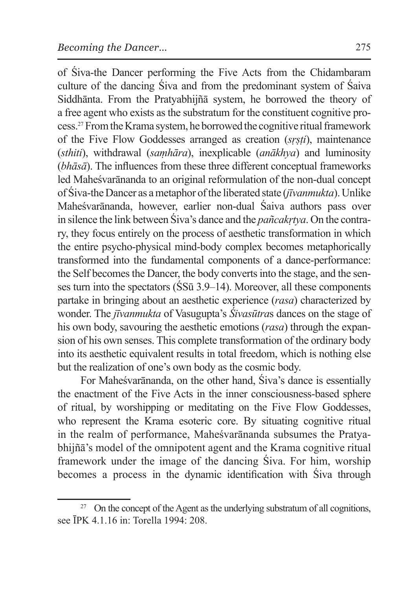of Śiva-the Dancer performing the Five Acts from the Chidambaram culture of the dancing Śiva and from the predominant system of Śaiva Siddhānta. From the Pratyabhijñā system, he borrowed the theory of a free agent who exists as the substratum for the constituent cognitive process.27 From theKrama system, he borrowed the cognitive ritual framework of the Five Flow Goddesses arranged as creation (*sṛṣṭi*), maintenance (*sthiti*), withdrawal (*saṃhāra*), inexplicable (*anākhya*) and luminosity (*bhāsā*). The influences from these three different conceptual frameworks led Maheśvarānanda to an original reformulation of the non-dual concept of Śiva-theDancer as ametaphor of the liberated state (*jīvanmukta*). Unlike Maheśvarānanda, however, earlier non-dual Śaiva authors pass over in silence the link between Śiva's dance and the *pañcakṛtya*. On the contrary, they focus entirely on the process of aesthetic transformation in which the entire psycho-physical mind-body complex becomes metaphorically transformed into the fundamental components of a dance-performance: the Self becomes the Dancer, the body converts into the stage, and the senses turn into the spectators (ŚSū 3.9–14). Moreover, all these components partake in bringing about an aesthetic experience (*rasa*) characterized by wonder. The *jīvanmukta* of Vasugupta's *Śivasūtra*s dances on the stage of his own body, savouring the aesthetic emotions (*rasa*) through the expansion of his own senses. This complete transformation of the ordinary body into its aesthetic equivalent results in total freedom, which is nothing else but the realization of one's own body as the cosmic body.

For Maheśvarānanda, on the other hand, Śiva's dance is essentially the enactment of the Five Acts in the inner consciousness-based sphere of ritual, by worshipping or meditating on the Five Flow Goddesses, who represent the Krama esoteric core. By situating cognitive ritual in the realm of performance, Maheśvarānanda subsumes the Pratyabhijñā's model of the omnipotent agent and the Krama cognitive ritual framework under the image of the dancing Śiva. For him, worship becomes a process in the dynamic identification with Śiva through

<sup>&</sup>lt;sup>27</sup> On the concept of the Agent as the underlying substratum of all cognitions, see ĪPK 4.1.16 in: Torella 1994: 208.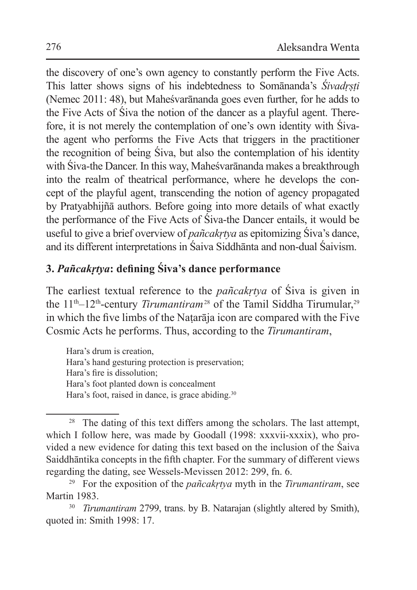the discovery of one's own agency to constantly perform the Five Acts. This latter shows signs of his indebtedness to Somānanda's *Śivadṛṣṭi* (Nemec 2011: 48), but Maheśvarānanda goes even further, for he adds to the Five Acts of Śiva the notion of the dancer as a playful agent. Therefore, it is not merely the contemplation of one's own identity with Śivathe agent who performs the Five Acts that triggers in the practitioner the recognition of being Śiva, but also the contemplation of his identity with Śiva-the Dancer. In this way, Maheśvarānanda makes a breakthrough into the realm of theatrical performance, where he develops the concept of the playful agent, transcending the notion of agency propagated by Pratyabhijñā authors. Before going into more details of what exactly the performance of the Five Acts of Śiva-the Dancer entails, it would be useful to give a brief overview of *pañcakṛtya* as epitomizing Śiva's dance, and its different interpretations in Śaiva Siddhānta and non-dual Śaivism.

## **3.** *Pañcakṛtya***: defining Śiva's dance performance**

The earliest textual reference to the *pañcakṛtya* of Śiva is given in the 11<sup>th</sup>–12<sup>th</sup>-century *Tirumantiram*<sup>28</sup> of the Tamil Siddha Tirumular,<sup>29</sup> in which the five limbs of the Naṭarāja icon are compared with the Five Cosmic Acts he performs. Thus, according to the *Tirumantiram*,

Hara's drum is creation, Hara's hand gesturing protection is preservation; Hara's fire is dissolution; Hara's foot planted down is concealment Hara's foot, raised in dance, is grace abiding.<sup>30</sup>

<sup>&</sup>lt;sup>28</sup> The dating of this text differs among the scholars. The last attempt, which I follow here, was made by Goodall (1998: xxxvii-xxxix), who provided a new evidence for dating this text based on the inclusion of the Śaiva Saiddhāntika concepts in the fifth chapter. For the summary of different views regarding the dating, see Wessels-Mevissen 2012: 299, fn. 6.

<sup>29</sup> For the exposition of the *pañcakṛtya* myth in the *Tirumantiram*, see Martin 1983. 30 *Tirumantiram* 2799, trans. by B. Natarajan (slightly altered by Smith),

quoted in: Smith 1998: 17.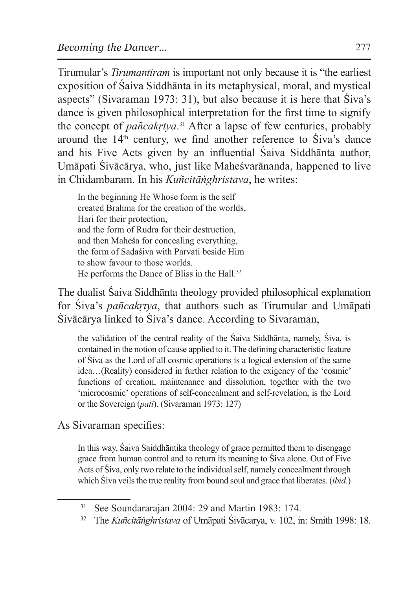Tirumular's *Tirumantiram* is important not only because it is "the earliest exposition of Śaiva Siddhānta in its metaphysical, moral, and mystical aspects" (Sivaraman 1973: 31), but also because it is here that Śiva's dance is given philosophical interpretation for the first time to signify the concept of *pañcakṛtya*. 31 After a lapse of few centuries, probably around the 14th century, we find another reference to Śiva's dance and his Five Acts given by an influential Śaiva Siddhānta author, Umāpati Śivācārya, who, just like Maheśvarānanda, happened to live in Chidambaram. In his *Kuñcitāṅghristava*, he writes:

In the beginning He Whose form is the self created Brahma for the creation of the worlds, Hari for their protection, and the form of Rudra for their destruction, and then Maheśa for concealing everything, the form of Sadaśiva with Parvati beside Him to show favour to those worlds. He performs the Dance of Bliss in the Hall.<sup>32</sup>

The dualist Śaiva Siddhānta theology provided philosophical explanation for Śiva's *pañcakṛtya*, that authors such as Tirumular and Umāpati Śivācārya linked to Śiva's dance. According to Sivaraman,

the validation of the central reality of the Śaiva Siddhānta, namely, Śiva, is contained in the notion of cause applied to it. The defining characteristic feature of Śiva as the Lord of all cosmic operations is a logical extension of the same idea…(Reality) considered in further relation to the exigency of the 'cosmic' functions of creation, maintenance and dissolution, together with the two 'microcosmic' operations of self-concealment and self-revelation, is the Lord or the Sovereign (*pati*). (Sivaraman 1973: 127)

As Sivaraman specifies:

In this way, Śaiva Saiddhāntika theology of grace permitted them to disengage grace from human control and to return its meaning to Śiva alone. Out of Five Acts of Śiva, only two relate to the individual self, namely concealment through which Śiva veils the true reality from bound soul and grace that liberates. (*ibid*.)

<sup>31</sup> See Soundararajan 2004: 29 and Martin 1983: 174.

<sup>32</sup> The *Kuñcitāṅghristava* of Umāpati Śivācarya, v. 102, in: Smith 1998: 18.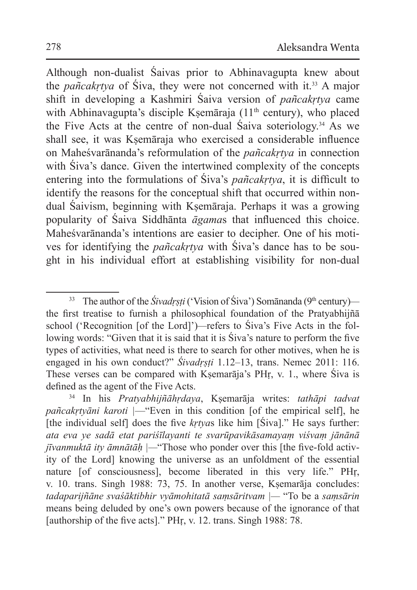Although non-dualist Śaivas prior to Abhinavagupta knew about the *pañcakṛtya* of Śiva, they were not concerned with it.33 A major shift in developing a Kashmiri Śaiva version of *pañcakṛtya* came with Abhinavagupta's disciple Kṣemāraja (11<sup>th</sup> century), who placed the Five Acts at the centre of non-dual Śaiva soteriology.34 As we shall see, it was Ksemāraja who exercised a considerable influence on Maheśvarānanda's reformulation of the *pañcakṛtya* in connection with Siva's dance. Given the intertwined complexity of the concepts entering into the formulations of Śiva's *pañcakṛtya*, it is difficult to identify the reasons for the conceptual shift that occurred within nondual Śaivism, beginning with Kṣemāraja. Perhaps it was a growing popularity of Śaiva Siddhānta *āgama*s that influenced this choice. Maheśvarānanda's intentions are easier to decipher. One of his motives for identifying the *pañcakṛtya* with Śiva's dance has to be sought in his individual effort at establishing visibility for non-dual

<sup>&</sup>lt;sup>33</sup> The author of the *Śivadrsti* ('Vision of Śiva') Somānanda (9<sup>th</sup> century) the first treatise to furnish a philosophical foundation of the Pratyabhijñā school ('Recognition [of the Lord]')*—*refers to Śiva's Five Acts in the following words: "Given that it is said that it is Śiva's nature to perform the five types of activities, what need is there to search for other motives, when he is engaged in his own conduct?" *Śivadrsti* 1.12–13, trans. Nemec 2011: 116. These verses can be compared with Kṣemarāja's PHṛ, v. 1., where Śiva is defined as the agent of the Five Acts.

<sup>34</sup> In his *Pratyabhijñāhṛdaya*, Kṣemarāja writes: *tathāpi tadvat pañcakṛtyāni karoti |*—"Even in this condition [of the empirical self], he [the individual self] does the five *kṛtya*s like him [Śiva]." He says further: *ata eva ye sadā etat pariśīlayanti te svarūpavikāsamayaṃ viśvaṃ jānānā jīvanmuktā ity āmnātāḥ |—*"Those who ponder over this [the five-fold activity of the Lord] knowing the universe as an unfoldment of the essential nature [of consciousness], become liberated in this very life." PHṛ, v. 10. trans. Singh 1988: 73, 75. In another verse, Kṣemarāja concludes: *tadaparijñāne svaśāktibhir vyāmohitatā saṃsāritvam |—* "To be a *saṃsārin* means being deluded by one's own powers because of the ignorance of that [authorship of the five acts]." PHṛ, v. 12. trans. Singh 1988: 78.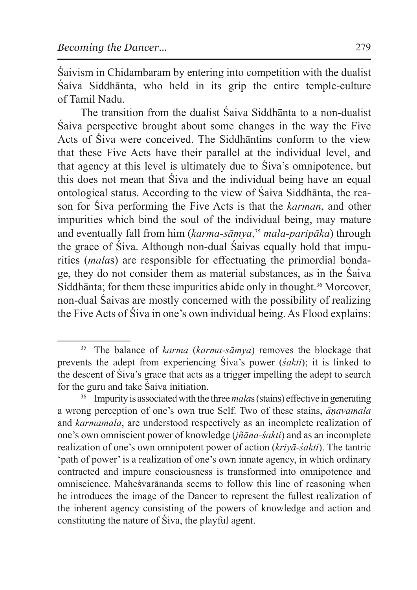Śaivism in Chidambaram by entering into competition with the dualist Śaiva Siddhānta, who held in its grip the entire temple-culture of Tamil Nadu.

The transition from the dualist Śaiva Siddhānta to a non-dualist Śaiva perspective brought about some changes in the way the Five Acts of Śiva were conceived. The Siddhāntins conform to the view that these Five Acts have their parallel at the individual level, and that agency at this level is ultimately due to Śiva's omnipotence, but this does not mean that Śiva and the individual being have an equal ontological status. According to the view of Śaiva Siddhānta, the reason for Śiva performing the Five Acts is that the *karman*, and other impurities which bind the soul of the individual being, may mature and eventually fall from him (*karma-sāmya*, <sup>35</sup> *mala-paripāka*) through the grace of Śiva. Although non-dual Śaivas equally hold that impurities (*mala*s) are responsible for effectuating the primordial bondage, they do not consider them as material substances, as in the Śaiva Siddhanta; for them these impurities abide only in thought.<sup>36</sup> Moreover, non-dual Śaivas are mostly concerned with the possibility of realizing the Five Acts of Śiva in one's own individual being. As Flood explains:

<sup>35</sup> The balance of *karma* (*karma-sāmya*) removes the blockage that prevents the adept from experiencing Śiva's power (*śakti*); it is linked to the descent of Śiva's grace that acts as a trigger impelling the adept to search for the guru and take Śaiva initiation.

<sup>36</sup> Impurity is associated with the three *mala*s (stains) effective in generating a wrong perception of one's own true Self. Two of these stains, *āṇavamala*  and *karmamala*, are understood respectively as an incomplete realization of one's own omniscient power of knowledge (*jñāna-śakti*) and as an incomplete realization of one's own omnipotent power of action (*kriyā-śakti*). The tantric 'path of power' is a realization of one's own innate agency, in which ordinary contracted and impure consciousness is transformed into omnipotence and omniscience. Maheśvarānanda seems to follow this line of reasoning when he introduces the image of the Dancer to represent the fullest realization of the inherent agency consisting of the powers of knowledge and action and constituting the nature of Śiva, the playful agent.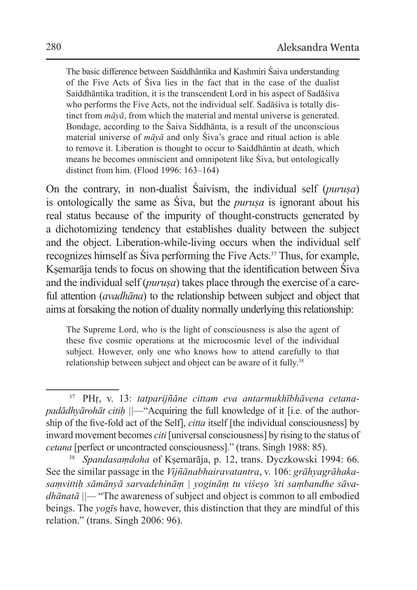The basic difference between Saiddhāntika and Kashmiri Śaiva understanding of the Five Acts of Śiva lies in the fact that in the case of the dualist Saiddhāntika tradition, it is the transcendent Lord in his aspect of Sadāśiva who performs the Five Acts, not the individual self. Sadāśiva is totally distinct from *māyā*, from which the material and mental universe is generated. Bondage, according to the Śaiva Siddhānta, is a result of the unconscious material universe of *māyā* and only Śiva's grace and ritual action is able to remove it. Liberation is thought to occur to Saiddhāntin at death, which means he becomes omniscient and omnipotent like Śiva, but ontologically distinct from him. (Flood 1996: 163–164)

On the contrary, in non-dualist Śaivism, the individual self (*puruṣa*) is ontologically the same as Śiva, but the *puruṣa* is ignorant about his real status because of the impurity of thought-constructs generated by a dichotomizing tendency that establishes duality between the subject and the object. Liberation-while-living occurs when the individual self recognizes himself as Śiva performing the Five Acts.37 Thus, for example, Ksemarāja tends to focus on showing that the identification between Śiva and the individual self (*purusa*) takes place through the exercise of a careful attention (*avadhāna*) to the relationship between subject and object that aims at forsaking the notion of duality normally underlying this relationship:

The Supreme Lord, who is the light of consciousness is also the agent of these five cosmic operations at the microcosmic level of the individual subject. However, only one who knows how to attend carefully to that relationship between subject and object can be aware of it fully.<sup>38</sup>

<sup>37</sup> PHṛ, v. 13: *tatparijñāne cittam eva antarmukhībhāvena cetanapadādhyārohāt citih*  $||$ —"Acquiring the full knowledge of it [i.e. of the authorship of the five-fold act of the Self], *citta* itself [the individual consciousness] by inward movement becomes *citi* [universal consciousness] by rising to the status of *cetana* [perfect or uncontracted consciousness]." (trans. Singh 1988: 85).

<sup>38</sup> *Spandasaṃdoha* of Kṣemarāja, p. 12, trans. Dyczkowski 1994: 66. See the similar passage in the *Vijñānabhairavatantra*, v. 106: *grāhyagrāhakasaṃvittiḥ sāmānyā sarvadehināṃ | yogināṃ tu viśeṣo 'sti saṃbandhe sāvadhānatā ||—* "The awareness of subject and object is common to all embodied beings. The *yogī*s have, however, this distinction that they are mindful of this relation." (trans. Singh 2006: 96).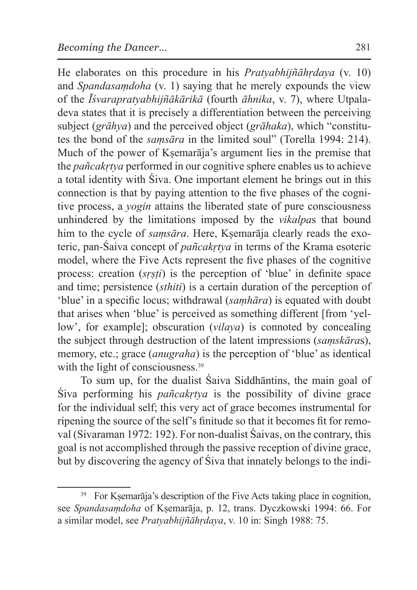He elaborates on this procedure in his *Pratyabhijñāhṛdaya* (v. 10) and *Spandasaṃdoha* (v. 1) saying that he merely expounds the view of the *Īśvarapratyabhijñākārikā* (fourth *āhnika*, v. 7), where Utpaladeva states that it is precisely a differentiation between the perceiving subject (*grāhya*) and the perceived object (*grāhaka*), which "constitutes the bond of the *saṃsāra* in the limited soul" (Torella 1994: 214). Much of the power of Ksemarāja's argument lies in the premise that the *pañcakṛtya* performed in our cognitive sphere enables us to achieve a total identity with Śiva. One important element he brings out in this connection is that by paying attention to the five phases of the cognitive process, a *yogin* attains the liberated state of pure consciousness unhindered by the limitations imposed by the *vikalpa*s that bound him to the cycle of *samsāra*. Here, Ksemarāja clearly reads the exoteric, pan-Śaiva concept of *pañcakṛtya* in terms of the Krama esoteric model, where the Five Acts represent the five phases of the cognitive process: creation (*sṛṣṭi*) is the perception of 'blue' in definite space and time; persistence (*sthiti*) is a certain duration of the perception of 'blue' in a specific locus; withdrawal (*saṃhāra*) is equated with doubt that arises when 'blue' is perceived as something different [from 'yellow', for example]; obscuration (*vilaya*) is connoted by concealing the subject through destruction of the latent impressions (*saṃskāra*s), memory, etc.; grace (*anugraha*) is the perception of 'blue' as identical with the light of consciousness.<sup>39</sup>

To sum up, for the dualist Śaiva Siddhāntins, the main goal of Śiva performing his *pañcakṛtya* is the possibility of divine grace for the individual self; this very act of grace becomes instrumental for ripening the source of the self's finitude so that it becomes fit for removal (Sivaraman 1972: 192). For non-dualist Śaivas, on the contrary, this goal is not accomplished through the passive reception of divine grace, but by discovering the agency of Śiva that innately belongs to the indi-

<sup>&</sup>lt;sup>39</sup> For Kṣemarāja's description of the Five Acts taking place in cognition, see *Spandasaṃdoha* of Kṣemarāja, p. 12, trans. Dyczkowski 1994: 66. For a similar model, see *Pratyabhijñāhṛdaya*, v. 10 in: Singh 1988: 75.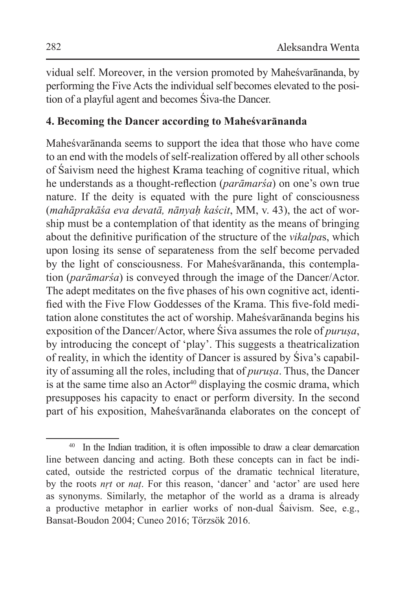vidual self. Moreover, in the version promoted by Maheśvarānanda, by performing the Five Acts the individual self becomes elevated to the position of a playful agent and becomes Śiva-the Dancer.

## **4. Becoming the Dancer according to Maheśvarānanda**

Maheśvarānanda seems to support the idea that those who have come to an end with the models of self-realization offered by all other schools of Śaivism need the highest Krama teaching of cognitive ritual, which he understands as a thought-reflection (*parāmarśa*) on one's own true nature. If the deity is equated with the pure light of consciousness (*mahāprakāśa eva devatā, nānyaḥ kaścit*, MM, v. 43), the act of worship must be a contemplation of that identity as the means of bringing about the definitive purification of the structure of the *vikalpa*s, which upon losing its sense of separateness from the self become pervaded by the light of consciousness. For Maheśvarānanda, this contemplation (*parāmarśa*) is conveyed through the image of the Dancer/Actor. The adept meditates on the five phases of his own cognitive act, identified with the Five Flow Goddesses of the Krama. This five-fold meditation alone constitutes the act of worship. Maheśvarānanda begins his exposition of the Dancer/Actor, where Śiva assumes the role of *puruṣa*, by introducing the concept of 'play'. This suggests a theatricalization of reality, in which the identity of Dancer is assured by Śiva's capability of assuming all the roles, including that of *puruṣa*. Thus, the Dancer is at the same time also an  $Action^{40}$  displaying the cosmic drama, which presupposes his capacity to enact or perform diversity. In the second part of his exposition, Maheśvarānanda elaborates on the concept of

<sup>40</sup> In the Indian tradition, it is often impossible to draw a clear demarcation line between dancing and acting. Both these concepts can in fact be indicated, outside the restricted corpus of the dramatic technical literature, by the roots *nṛt* or *naṭ*. For this reason, 'dancer' and 'actor' are used here as synonyms. Similarly, the metaphor of the world as a drama is already a productive metaphor in earlier works of non-dual Śaivism. See, e.g., Bansat-Boudon 2004; Cuneo 2016; Törzsök 2016.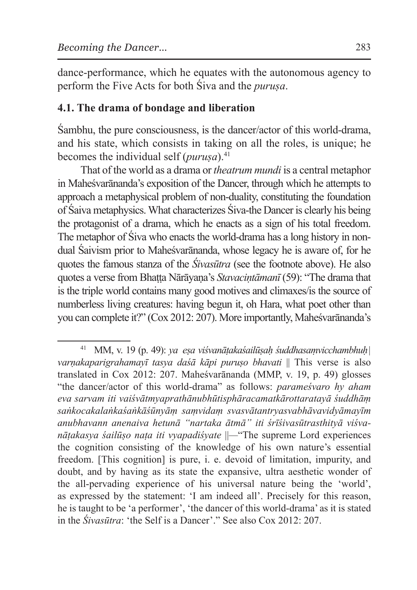dance-performance, which he equates with the autonomous agency to perform the Five Acts for both Śiva and the *puruṣa*.

## **4.1. The drama of bondage and liberation**

Śambhu, the pure consciousness, is the dancer/actor of this world-drama, and his state, which consists in taking on all the roles, is unique; he becomes the individual self (*purusa*).<sup>41</sup>

That of the world as a drama or *theatrum mundi* is a central metaphor in Maheśvarānanda's exposition of the Dancer, through which he attempts to approach a metaphysical problem of non-duality, constituting the foundation of Śaiva metaphysics. What characterizes Śiva-the Dancer is clearly his being the protagonist of a drama, which he enacts as a sign of his total freedom. The metaphor of Śiva who enacts the world-drama has a long history in nondual Śaivism prior to Maheśvarānanda, whose legacy he is aware of, for he quotes the famous stanza of the *Śivasūtra* (see the footnote above). He also quotes a verse from Bhaṭṭa Nārāyaṇa's *Stavaciṇtāmanī* (59): "The drama that is the triple world contains many good motives and climaxes/is the source of numberless living creatures: having begun it, oh Hara, what poet other than you can complete it?" (Cox 2012: 207). More importantly, Maheśvarānanda's

<sup>41</sup> MM, v. 19 (p. 49): *ya eṣa viśvanāṭakaśailūṣaḥ śuddhasaṃvicchambhuḥ| varṇakaparigrahamayī tasya daśā kāpi puruṣo bhavati* || This verse is also translated in Cox 2012: 207. Maheśvarānanda (MMP, v. 19, p. 49) glosses "the dancer/actor of this world-drama" as follows: *parameśvaro hy aham eva sarvam iti vaiśvātmyaprathānubhūtisphāracamatkārottaratayā śuddhāṃ saṅkocakalaṅkaśaṅkāśūnyāṃ saṃvidaṃ svasvātantryasvabhāvavidyāmayīm anubhavann anenaiva hetunā "nartaka ātmā" iti śrīśivasūtrasthityā viśvanāṭakasya śailūṣo naṭa iti vyapadiśyate* ||*—*"The supreme Lord experiences the cognition consisting of the knowledge of his own nature's essential freedom. [This cognition] is pure, i. e. devoid of limitation, impurity, and doubt, and by having as its state the expansive, ultra aesthetic wonder of the all-pervading experience of his universal nature being the 'world', as expressed by the statement: 'I am indeed all'. Precisely for this reason, he is taught to be 'a performer', 'the dancer of this world-drama' as it is stated in the *Śivasūtra*: 'the Self is a Dancer'." See also Cox 2012: 207.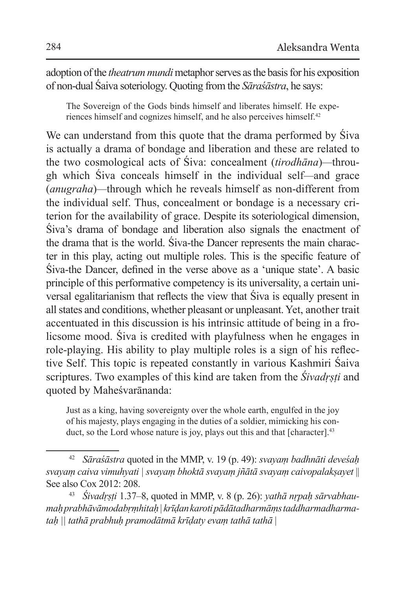adoption of the *theatrum mundi* metaphor serves as the basis for his exposition of non-dual Śaiva soteriology. Quoting from the *Sāraśāstra*, he says:

The Sovereign of the Gods binds himself and liberates himself. He experiences himself and cognizes himself, and he also perceives himself.42

We can understand from this quote that the drama performed by Śiva is actually a drama of bondage and liberation and these are related to the two cosmological acts of Śiva: concealment (*tirodhāna*)*—*through which Śiva conceals himself in the individual self*—*and grace (*anugraha*)*—*through which he reveals himself as non-different from the individual self. Thus, concealment or bondage is a necessary criterion for the availability of grace. Despite its soteriological dimension, Śiva's drama of bondage and liberation also signals the enactment of the drama that is the world. Śiva-the Dancer represents the main character in this play, acting out multiple roles. This is the specific feature of Śiva-the Dancer, defined in the verse above as a 'unique state'. A basic principle of this performative competency is its universality, a certain universal egalitarianism that reflects the view that Śiva is equally present in all states and conditions, whether pleasant or unpleasant. Yet, another trait accentuated in this discussion is his intrinsic attitude of being in a frolicsome mood. Śiva is credited with playfulness when he engages in role-playing. His ability to play multiple roles is a sign of his reflective Self. This topic is repeated constantly in various Kashmiri Śaiva scriptures. Two examples of this kind are taken from the *Śivadṛṣṭi* and quoted by Maheśvarānanda:

Just as a king, having sovereignty over the whole earth, engulfed in the joy of his majesty, plays engaging in the duties of a soldier, mimicking his conduct, so the Lord whose nature is joy, plays out this and that [character].<sup>43</sup>

<sup>42</sup> *Sāraśāstra* quoted in the MMP, v. 19 (p. 49): *svayaṃ badhnāti deveśaḥ svayaṃ caiva vimuhyati | svayaṃ bhoktā svayaṃ jñātā svayaṃ caivopalakṣayet* || See also Cox 2012: 208.

<sup>43</sup> *Śivadṛṣṭi* 1.37–8, quoted in MMP, v. 8 (p. 26): *yathā nṛpaḥ sārvabhaumaḥ prabhāvāmodabṛṃhitaḥ | krīḍan karoti pādātadharmāṃs taddharmadharmataḥ || tathā prabhuḥ pramodātmā krīḍaty evaṃ tathā tathā* |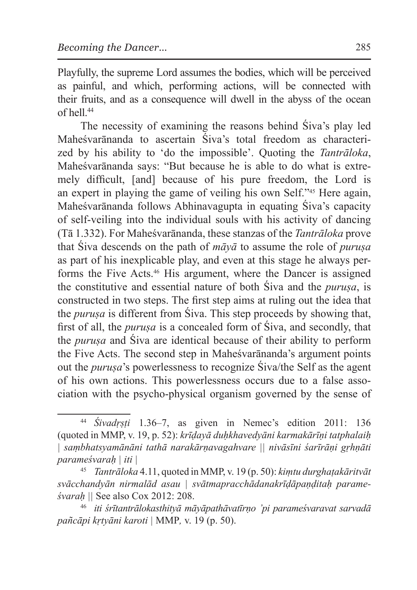Playfully, the supreme Lord assumes the bodies, which will be perceived as painful, and which, performing actions, will be connected with their fruits, and as a consequence will dwell in the abyss of the ocean of hell.44

The necessity of examining the reasons behind Śiva's play led Maheśvarānanda to ascertain Śiva's total freedom as characterized by his ability to 'do the impossible'. Quoting the *Tantrāloka*, Maheśvarānanda says: "But because he is able to do what is extremely difficult, [and] because of his pure freedom, the Lord is an expert in playing the game of veiling his own Self."45 Here again, Maheśvarānanda follows Abhinavagupta in equating Śiva's capacity of self-veiling into the individual souls with his activity of dancing (Tā 1.332). For Maheśvarānanda, these stanzas of the *Tantrāloka* prove that Śiva descends on the path of *māyā* to assume the role of *puruṣa*  as part of his inexplicable play, and even at this stage he always performs the Five Acts.46 His argument, where the Dancer is assigned the constitutive and essential nature of both Śiva and the *puruṣa*, is constructed in two steps. The first step aims at ruling out the idea that the *puruṣa* is different from Śiva. This step proceeds by showing that, first of all, the *puruṣa* is a concealed form of Śiva, and secondly, that the *puruṣa* and Śiva are identical because of their ability to perform the Five Acts. The second step in Maheśvarānanda's argument points out the *puruṣa*'s powerlessness to recognize Śiva/the Self as the agent of his own actions. This powerlessness occurs due to a false association with the psycho-physical organism governed by the sense of

<sup>44</sup> *Śivadṛṣṭi* 1.36–7, as given in Nemec's edition 2011: 136 (quoted in MMP, v. 19, p. 52): *krīḍayā duḥkhavedyāni karmakārīṇi tatphalaiḥ | saṃbhatsyamānāni tathā narakārṇavagahvare || nivāsīni śarīrāṇi gṛhṇāti parameśvaraḥ | iti |* 

<sup>45</sup> *Tantrāloka* 4.11, quoted in MMP, v. 19 (p. 50): *kiṃtu durghaṭakāritvāt svācchandyān nirmalād asau | svātmapracchādanakrīḍāpaṇḍitaḥ parameśvaraḥ ||* See also Cox 2012: 208.

<sup>46</sup> *iti śrītantrālokasthityā māyāpathāvatīrṇo 'pi parameśvaravat sarvadā pañcāpi kṛtyāni karoti |* MMP*,* v. 19 (p. 50).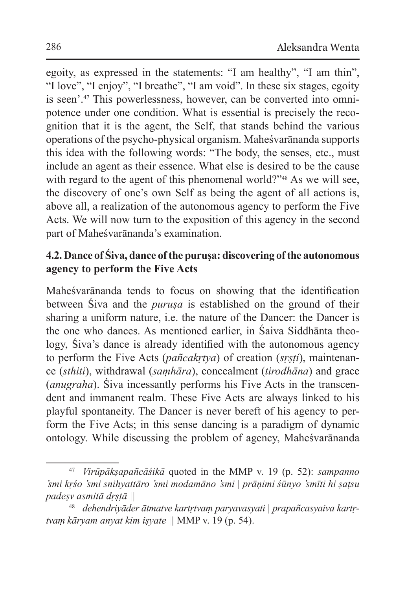egoity, as expressed in the statements: "I am healthy", "I am thin", "I love", "I enjoy", "I breathe", "I am void". In these six stages, egoity is seen'.47 This powerlessness, however, can be converted into omnipotence under one condition. What is essential is precisely the recognition that it is the agent, the Self, that stands behind the various operations of the psycho-physical organism. Maheśvarānanda supports this idea with the following words: "The body, the senses, etc., must include an agent as their essence. What else is desired to be the cause with regard to the agent of this phenomenal world?"<sup>48</sup> As we will see, the discovery of one's own Self as being the agent of all actions is, above all, a realization of the autonomous agency to perform the Five Acts. We will now turn to the exposition of this agency in the second part of Maheśvarānanda's examination.

# **4.2. Dance of Śiva, dance of the puruṣa: discovering of the autonomous agency to perform the Five Acts**

Maheśvarānanda tends to focus on showing that the identification between Śiva and the *puruṣa* is established on the ground of their sharing a uniform nature, i.e. the nature of the Dancer: the Dancer is the one who dances. As mentioned earlier, in Śaiva Siddhānta theology, Śiva's dance is already identified with the autonomous agency to perform the Five Acts (*pañcakṛtya*) of creation (*sṛṣṭi*), maintenance (*sthiti*), withdrawal (*saṃhāra*), concealment (*tirodhāna*) and grace (*anugraha*). Śiva incessantly performs his Five Acts in the transcendent and immanent realm. These Five Acts are always linked to his playful spontaneity. The Dancer is never bereft of his agency to perform the Five Acts; in this sense dancing is a paradigm of dynamic ontology. While discussing the problem of agency, Maheśvarānanda

<sup>47</sup> *Virūpākṣapañcāśikā* quoted in the MMP v. 19 (p. 52): *sampanno 'smi kṛśo 'smi snihyattāro 'smi modamāno 'smi | prāṇimi śūnyo 'smīti hi ṣaṭsu padeṣv asmitā dṛṣṭā ||* 

<sup>48</sup> *dehendriyāder ātmatve kartṛtvaṃ paryavasyati | prapañcasyaiva kartṛtvaṃ kāryam anyat kim iṣyate ||* MMP v. 19 (p. 54).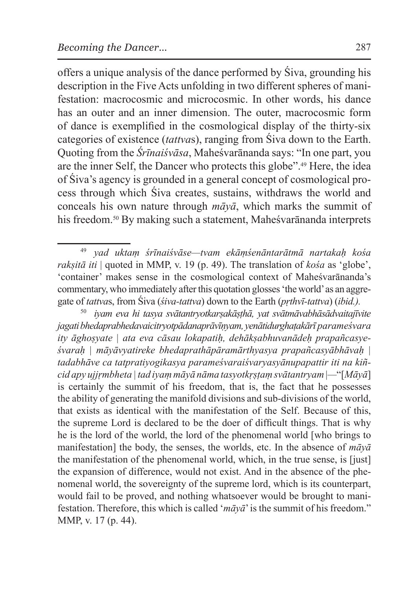offers a unique analysis of the dance performed by Śiva, grounding his description in the Five Acts unfolding in two different spheres of manifestation: macrocosmic and microcosmic. In other words, his dance has an outer and an inner dimension. The outer, macrocosmic form of dance is exemplified in the cosmological display of the thirty-six categories of existence (*tattva*s), ranging from Śiva down to the Earth. Quoting from the *Śrīnaiśvāsa*, Maheśvarānanda says: "In one part, you are the inner Self, the Dancer who protects this globe".49 Here, the idea of Śiva's agency is grounded in a general concept of cosmological process through which Śiva creates, sustains, withdraws the world and conceals his own nature through *māyā*, which marks the summit of his freedom.<sup>50</sup> By making such a statement, Maheśvarānanda interprets

<sup>49</sup> *yad uktaṃ śrīnaiśvāse—tvam ekāṃśenāntarātmā nartakaḥ kośa rakṣitā iti* | quoted in MMP, v. 19 (p. 49). The translation of *kośa* as 'globe', 'container' makes sense in the cosmological context of Maheśvarānanda's commentary, who immediately after this quotation glosses 'the world' as an aggregate of *tattva*s, from Śiva (*śiva-tattva*) down to the Earth (*pṛthvī-tattva*) (*ibid.).*

<sup>50</sup> *iyam eva hi tasya svātantryotkarṣakāṣṭhā, yat svātmāvabhāsādvaitajīvite jagati bhedaprabhedavaicitryotpādanaprāvīṇyam, yenātidurghaṭakārī parameśvara ity āghoṣyate | ata eva cāsau lokapatiḥ, dehākṣabhuvanādeḥ prapañcasyeśvaraḥ | māyāvyatireke bhedaprathāpāramārthyasya prapañcasyābhāvaḥ | tadabhāve ca tatpratiyogikasya parameśvaraiśvaryasyānupapattir iti na kiñcid apy ujjṛmbheta | tad iyaṃ māyā nāma tasyotkṛṣṭaṃ svātantryam*|*—*"[*Māyā*] is certainly the summit of his freedom, that is, the fact that he possesses the ability of generating the manifold divisions and sub-divisions of the world, that exists as identical with the manifestation of the Self. Because of this, the supreme Lord is declared to be the doer of difficult things. That is why he is the lord of the world, the lord of the phenomenal world [who brings to manifestation] the body, the senses, the worlds, etc. In the absence of *māyā*  the manifestation of the phenomenal world, which, in the true sense, is [just] the expansion of difference, would not exist. And in the absence of the phenomenal world, the sovereignty of the supreme lord, which is its counterpart, would fail to be proved, and nothing whatsoever would be brought to manifestation. Therefore, this which is called '*māyā*' is the summit of his freedom." MMP, v. 17 (p. 44).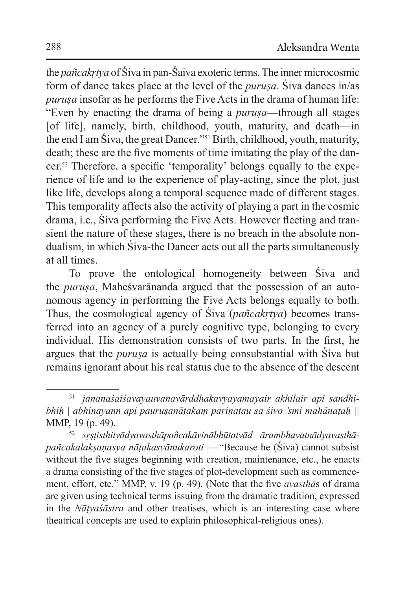the *pañcakṛtya* of Śiva in pan-Śaiva exoteric terms. The inner microcosmic form of dance takes place at the level of the *puruṣa*. Śiva dances in/as *puruṣa* insofar as he performs the Five Acts in the drama of human life: "Even by enacting the drama of being a *puruṣa*—through all stages [of life], namely, birth, childhood, youth, maturity, and death—in the end I am Śiva, the great Dancer."51 Birth, childhood, youth, maturity, death; these are the five moments of time imitating the play of the dancer.52 Therefore, a specific 'temporality' belongs equally to the experience of life and to the experience of play-acting, since the plot, just like life, develops along a temporal sequence made of different stages. This temporality affects also the activity of playing a part in the cosmic drama, i.e., Śiva performing the Five Acts. However fleeting and transient the nature of these stages, there is no breach in the absolute nondualism, in which Śiva-the Dancer acts out all the parts simultaneously at all times.

To prove the ontological homogeneity between Śiva and the *puruṣa*, Maheśvarānanda argued that the possession of an autonomous agency in performing the Five Acts belongs equally to both. Thus, the cosmological agency of Śiva (*pañcakṛtya*) becomes transferred into an agency of a purely cognitive type, belonging to every individual. His demonstration consists of two parts. In the first, he argues that the *puruṣa* is actually being consubstantial with Śiva but remains ignorant about his real status due to the absence of the descent

<sup>51</sup> *jananaśaiśavayauvanavārddhakavyayamayair akhilair api sandhibhiḥ | abhinayann api pauruṣanāṭakaṃ pariṇatau sa śivo 'smi mahānaṭaḥ ||*  MMP, 19 (p. 49).

<sup>52</sup> *sṛṣṭisthityādyavasthāpañcakāvinābhūtatvād ārambhayatnādyavasthāpañcakalakṣaṇasya nāṭakasyānukaroti* |—"Because he (Śiva) cannot subsist without the five stages beginning with creation, maintenance, etc., he enacts a drama consisting of the five stages of plot-development such as commencement, effort, etc." MMP, v. 19 (p. 49). (Note that the five *avasthā*s of drama are given using technical terms issuing from the dramatic tradition, expressed in the *Nāṭyaśāstra* and other treatises, which is an interesting case where theatrical concepts are used to explain philosophical-religious ones).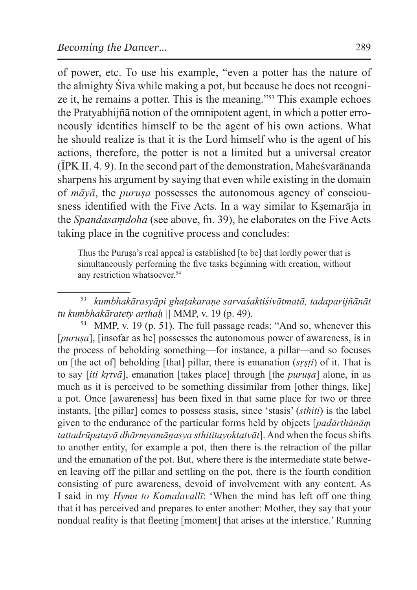of power, etc. To use his example, "even a potter has the nature of the almighty Śiva while making a pot, but because he does not recognize it, he remains a potter. This is the meaning."53 This example echoes the Pratyabhijñā notion of the omnipotent agent, in which a potter erroneously identifies himself to be the agent of his own actions. What he should realize is that it is the Lord himself who is the agent of his actions, therefore, the potter is not a limited but a universal creator (ĪPK II. 4. 9). In the second part of the demonstration, Maheśvarānanda sharpens his argument by saying that even while existing in the domain of *māyā*, the *puruṣa* possesses the autonomous agency of consciousness identified with the Five Acts. In a way similar to Ksemarāja in the *Spandasaṃdoha* (see above, fn. 39), he elaborates on the Five Acts taking place in the cognitive process and concludes:

Thus the Puruṣa's real appeal is established [to be] that lordly power that is simultaneously performing the five tasks beginning with creation, without any restriction whatsoever.<sup>54</sup>

<sup>53</sup> *kumbhakārasyāpi ghaṭakaraṇe sarvaśaktiśivātmatā, tadaparijñānāt tu kumbhakāratety arthaḥ ||* MMP, v. 19 (p. 49).

<sup>54</sup> MMP, v. 19 (p. 51). The full passage reads: "And so, whenever this [*purusa*], [insofar as he] possesses the autonomous power of awareness, is in the process of beholding something—for instance, a pillar—and so focuses on [the act of] beholding [that] pillar, there is emanation (*sṛṣṭi*) of it. That is to say [*iti kṛtvā*], emanation [takes place] through [the *puruṣa*] alone, in as much as it is perceived to be something dissimilar from [other things, like] a pot. Once [awareness] has been fixed in that same place for two or three instants, [the pillar] comes to possess stasis, since 'stasis' (*sthiti*) is the label given to the endurance of the particular forms held by objects [*padārthānāṃ tattadrūpatayā dhārmyamāṇasya sthititayoktatvāt*]. And when the focus shifts to another entity, for example a pot, then there is the retraction of the pillar and the emanation of the pot. But, where there is the intermediate state between leaving off the pillar and settling on the pot, there is the fourth condition consisting of pure awareness, devoid of involvement with any content. As I said in my *Hymn to Komalavallī*: 'When the mind has left off one thing that it has perceived and prepares to enter another: Mother, they say that your nondual reality is that fleeting [moment] that arises at the interstice.' Running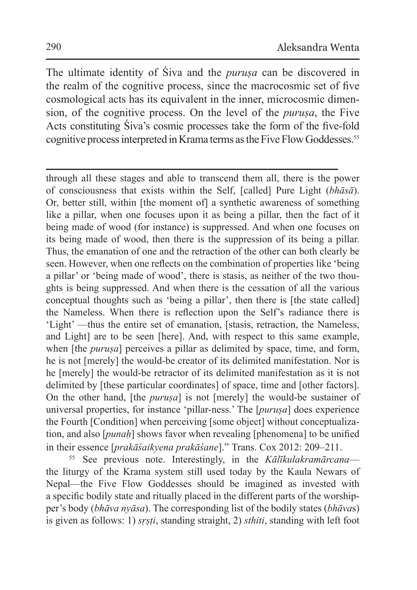The ultimate identity of Śiva and the *puruṣa* can be discovered in the realm of the cognitive process, since the macrocosmic set of five cosmological acts has its equivalent in the inner, microcosmic dimension, of the cognitive process. On the level of the *puruṣa*, the Five Acts constituting Śiva's cosmic processes take the form of the five-fold cognitive process interpreted in Krama terms as the Five Flow Goddesses.<sup>55</sup>

through all these stages and able to transcend them all, there is the power of consciousness that exists within the Self, [called] Pure Light (*bhāsā*). Or, better still, within [the moment of] a synthetic awareness of something like a pillar, when one focuses upon it as being a pillar, then the fact of it being made of wood (for instance) is suppressed. And when one focuses on its being made of wood, then there is the suppression of its being a pillar. Thus, the emanation of one and the retraction of the other can both clearly be seen. However, when one reflects on the combination of properties like 'being a pillar' or 'being made of wood', there is stasis, as neither of the two thoughts is being suppressed. And when there is the cessation of all the various conceptual thoughts such as 'being a pillar', then there is [the state called] the Nameless. When there is reflection upon the Self's radiance there is 'Light' —thus the entire set of emanation, [stasis, retraction, the Nameless, and Light] are to be seen [here]. And, with respect to this same example, when *fthe purusa* perceives a pillar as delimited by space, time, and form, he is not [merely] the would-be creator of its delimited manifestation. Nor is he [merely] the would-be retractor of its delimited manifestation as it is not delimited by [these particular coordinates] of space, time and [other factors]. On the other hand, [the *puruṣa*] is not [merely] the would-be sustainer of universal properties, for instance 'pillar-ness.' The [*puruṣa*] does experience the Fourth [Condition] when perceiving [some object] without conceptualization, and also [*punaḥ*] shows favor when revealing [phenomena] to be unified in their essence [*prakāśaikyena prakāśane*]." Trans. Cox 2012: 209–211.

<sup>55</sup> See previous note. Interestingly, in the *Kālīkulakramārcana* the liturgy of the Krama system still used today by the Kaula Newars of Nepal—the Five Flow Goddesses should be imagined as invested with a specific bodily state and ritually placed in the different parts of the worshipper's body (*bhāva nyāsa*). The corresponding list of the bodily states (*bhāva*s) is given as follows: 1) *sṛṣṭi*, standing straight, 2) *sthiti*, standing with left foot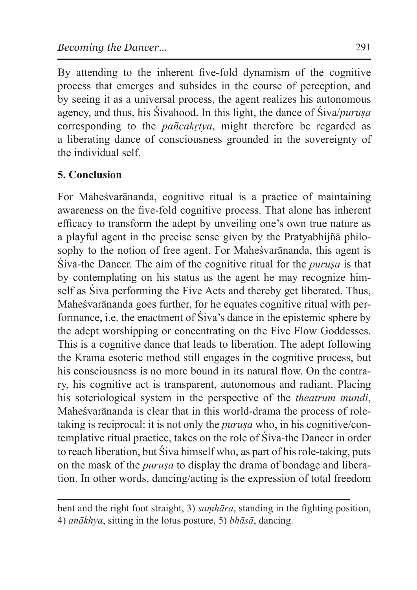By attending to the inherent five-fold dynamism of the cognitive process that emerges and subsides in the course of perception, and by seeing it as a universal process, the agent realizes his autonomous agency, and thus, his Śivahood. In this light, the dance of Śiva/*puruṣa* corresponding to the *pañcakṛtya*, might therefore be regarded as a liberating dance of consciousness grounded in the sovereignty of the individual self.

# **5. Conclusion**

For Maheśvarānanda, cognitive ritual is a practice of maintaining awareness on the five-fold cognitive process. That alone has inherent efficacy to transform the adept by unveiling one's own true nature as a playful agent in the precise sense given by the Pratyabhijñā philosophy to the notion of free agent. For Maheśvarānanda, this agent is Śiva-the Dancer. The aim of the cognitive ritual for the *puruṣa* is that by contemplating on his status as the agent he may recognize himself as Śiva performing the Five Acts and thereby get liberated. Thus, Maheśvarānanda goes further, for he equates cognitive ritual with performance, i.e. the enactment of Śiva's dance in the epistemic sphere by the adept worshipping or concentrating on the Five Flow Goddesses. This is a cognitive dance that leads to liberation. The adept following the Krama esoteric method still engages in the cognitive process, but his consciousness is no more bound in its natural flow. On the contrary, his cognitive act is transparent, autonomous and radiant. Placing his soteriological system in the perspective of the *theatrum mundi*, Maheśvarānanda is clear that in this world-drama the process of roletaking is reciprocal: it is not only the *puruṣa* who, in his cognitive/contemplative ritual practice, takes on the role of Śiva-the Dancer in order to reach liberation, but Śiva himself who, as part of his role-taking, puts on the mask of the *puruṣa* to display the drama of bondage and liberation. In other words, dancing/acting is the expression of total freedom

bent and the right foot straight, 3) *saṃhāra*, standing in the fighting position, 4) *anākhya*, sitting in the lotus posture, 5) *bhāsā*, dancing.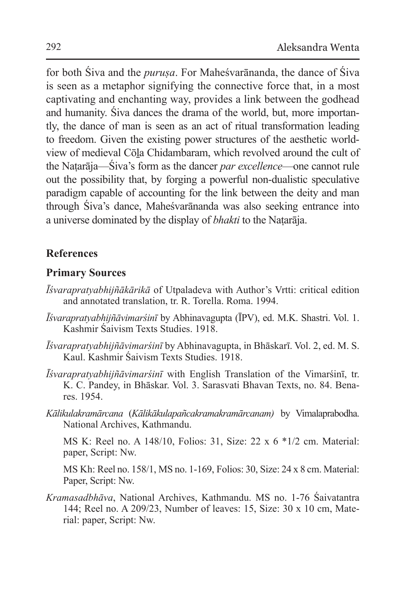for both Śiva and the *puruṣa*. For Maheśvarānanda, the dance of Śiva is seen as a metaphor signifying the connective force that, in a most captivating and enchanting way, provides a link between the godhead and humanity. Śiva dances the drama of the world, but, more importantly, the dance of man is seen as an act of ritual transformation leading to freedom. Given the existing power structures of the aesthetic worldview of medieval Cōḻa Chidambaram, which revolved around the cult of the Naṭarāja—Śiva's form as the dancer *par excellence*—one cannot rule out the possibility that, by forging a powerful non-dualistic speculative paradigm capable of accounting for the link between the deity and man through Śiva's dance, Maheśvarānanda was also seeking entrance into a universe dominated by the display of *bhakti* to the Naṭarāja.

## **References**

## **Primary Sources**

- *Īśvarapratyabhijñākārikā* of Utpaladeva with Author's Vrtti: critical edition and annotated translation, tr. R. Torella. Roma. 1994.
- *Īśvarapratyabhijñāvimarśinī* by Abhinavagupta (ĪPV), ed. M.K. Shastri. Vol. 1. Kashmir Śaivism Texts Studies. 1918.
- *Īśvarapratyabhijñāvimarśinī* by Abhinavagupta, in Bhāskarī. Vol. 2, ed. M. S. Kaul. Kashmir Śaivism Texts Studies. 1918.
- *Īśvarapratyabhijñāvimarśinī* with English Translation of the Vimarśinī, tr. K. C. Pandey, in Bhāskar. Vol. 3. Sarasvati Bhavan Texts, no. 84. Benares. 1954.
- *Kālikulakramārcana* (*Kālikākulapañcakramakramārcanam)* by Vimalaprabodha. National Archives, Kathmandu.

MS K: Reel no. A 148/10, Folios: 31, Size: 22 x 6 \*1/2 cm. Material: paper, Script: Nw.

MS Kh: Reel no. 158/1, MS no. 1-169, Folios: 30, Size: 24 x 8 cm. Material: Paper, Script: Nw.

*Kramasadbhāva*, National Archives, Kathmandu. MS no. 1-76 Śaivatantra 144; Reel no. A 209/23, Number of leaves: 15, Size: 30 x 10 cm, Material: paper, Script: Nw.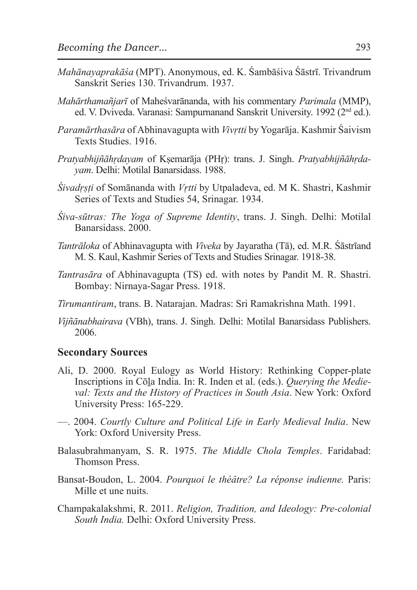- *Mahānayaprakāśa* (MPT). Anonymous, ed. K. Śambāśiva Śāstrī. Trivandrum Sanskrit Series 130. Trivandrum. 1937.
- *Mahārthamañjarī* of Maheśvarānanda, with his commentary *Parimala* (MMP), ed. V. Dviveda. Varanasi: Sampurnanand Sanskrit University. 1992 (2<sup>nd</sup> ed.).
- *Paramārthasāra* of Abhinavagupta with *Vivṛtti* by Yogarāja. Kashmir Śaivism Texts Studies. 1916.
- *Pratyabhijñāhṛdayam* of Kṣemarāja (PHṛ): trans. J. Singh. *Pratyabhijñāhṛdayam*. Delhi: Motilal Banarsidass. 1988.
- *Śivadṛṣṭi* of Somānanda with *Vṛtti* by Utpaladeva, ed. M K. Shastri, Kashmir Series of Texts and Studies 54, Srinagar. 1934.
- *Śiva-sūtras: The Yoga of Supreme Identity*, trans. J. Singh. Delhi: Motilal Banarsidass. 2000.
- *Tantrāloka* of Abhinavagupta with *Viveka* by Jayaratha (Tā), ed. M.R. Śāstrīand M. S. Kaul, Kashmir Series of Texts and Studies Srinagar. 1918-38.
- *Tantrasāra* of Abhinavagupta (TS) ed. with notes by Pandit M. R. Shastri. Bombay: Nirnaya-Sagar Press. 1918.
- *Tirumantiram*, trans. B. Natarajan. Madras: Sri Ramakrishna Math. 1991.
- *Vijñānabhairava* (VBh), trans. J. Singh. Delhi: Motilal Banarsidass Publishers. 2006.

#### **Secondary Sources**

- Ali, D. 2000. Royal Eulogy as World History: Rethinking Copper-plate Inscriptions in Cōḻa India. In: R. Inden et al. (eds.). *Querying the Medieval: Texts and the History of Practices in South Asia*. New York: Oxford University Press: 165-229.
- —. 2004. *Courtly Culture and Political Life in Early Medieval India*. New York: Oxford University Press.
- Balasubrahmanyam, S. R. 1975. *The Middle Chola Temples*. Faridabad: Thomson Press.
- Bansat-Boudon, L. 2004. *Pourquoi le théâtre? La réponse indienne.* Paris: Mille et une nuits.
- Champakalakshmi, R. 2011. *Religion, Tradition, and Ideology: Pre-colonial South India.* Delhi: Oxford University Press.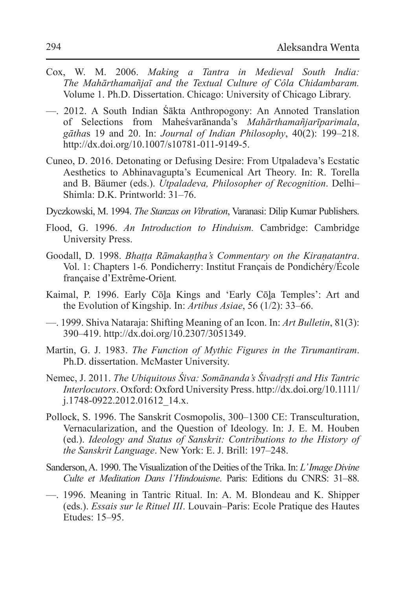- Cox, W. M. 2006. *Making a Tantra in Medieval South India: The Mahārthamañjaī and the Textual Culture of Côla Chidambaram.* Volume 1. Ph.D. Dissertation. Chicago: University of Chicago Library.
- —. 2012. A South Indian Śākta Anthropogony: An Annoted Translation of Selections from Maheśvarānanda's *Mahārthamañjarīparimala*, *gātha*s 19 and 20. In: *Journal of Indian Philosophy*, 40(2): 199–218. http://dx.doi.org/10.1007/s10781-011-9149-5.
- Cuneo, D. 2016. Detonating or Defusing Desire: From Utpaladeva's Ecstatic Aesthetics to Abhinavagupta's Ecumenical Art Theory. In: R. Torella and B. Bäumer (eds.). *Utpaladeva, Philosopher of Recognition*. Delhi– Shimla: D.K. Printworld: 31–76.
- Dyczkowski, M. 1994. *The Stanzas on Vibration*, Varanasi: Dilip Kumar Publishers.
- Flood, G. 1996. *An Introduction to Hinduism.* Cambridge: Cambridge University Press.
- Goodall, D. 1998. *Bhaṭṭa Rāmakaṇṭha's Commentary on the Kiraṇatantra*. Vol. 1: Chapters 1-6*.* Pondicherry: Institut Français de Pondichéry/École française d'Extrême-Orient*.*
- Kaimal, P. 1996. Early Cōla Kings and 'Early Cōla Temples': Art and the Evolution of Kingship. In: *Artibus Asiae*, 56 (1/2): 33–66.
- —. 1999. Shiva Nataraja: Shifting Meaning of an Icon. In: *Art Bulletin*, 81(3): 390–419. http://dx.doi.org/10.2307/3051349.
- Martin, G. J. 1983. *The Function of Mythic Figures in the Tirumantiram*. Ph.D. dissertation. McMaster University.
- Nemec, J. 2011. *The Ubiquitous Śiva: Somānanda's Śivadṛṣṭi and His Tantric Interlocutors*. Oxford: Oxford University Press. http://dx.doi.org/10.1111/ j.1748-0922.2012.01612\_14.x.
- Pollock, S. 1996. The Sanskrit Cosmopolis, 300–1300 CE: Transculturation, Vernacularization, and the Question of Ideology. In: J. E. M. Houben (ed.). *Ideology and Status of Sanskrit: Contributions to the History of the Sanskrit Language*. New York: E. J. Brill: 197–248.
- Sanderson, A. 1990. The Visualization of the Deities of the Trika. In: *L' Image Divine Culte et Meditation Dans l'Hindouisme*. Paris: Editions du CNRS: 31–88.
- —. 1996. Meaning in Tantric Ritual. In: A. M. Blondeau and K. Shipper (eds.). *Essais sur le Rituel III*. Louvain–Paris: Ecole Pratique des Hautes Etudes: 15–95.